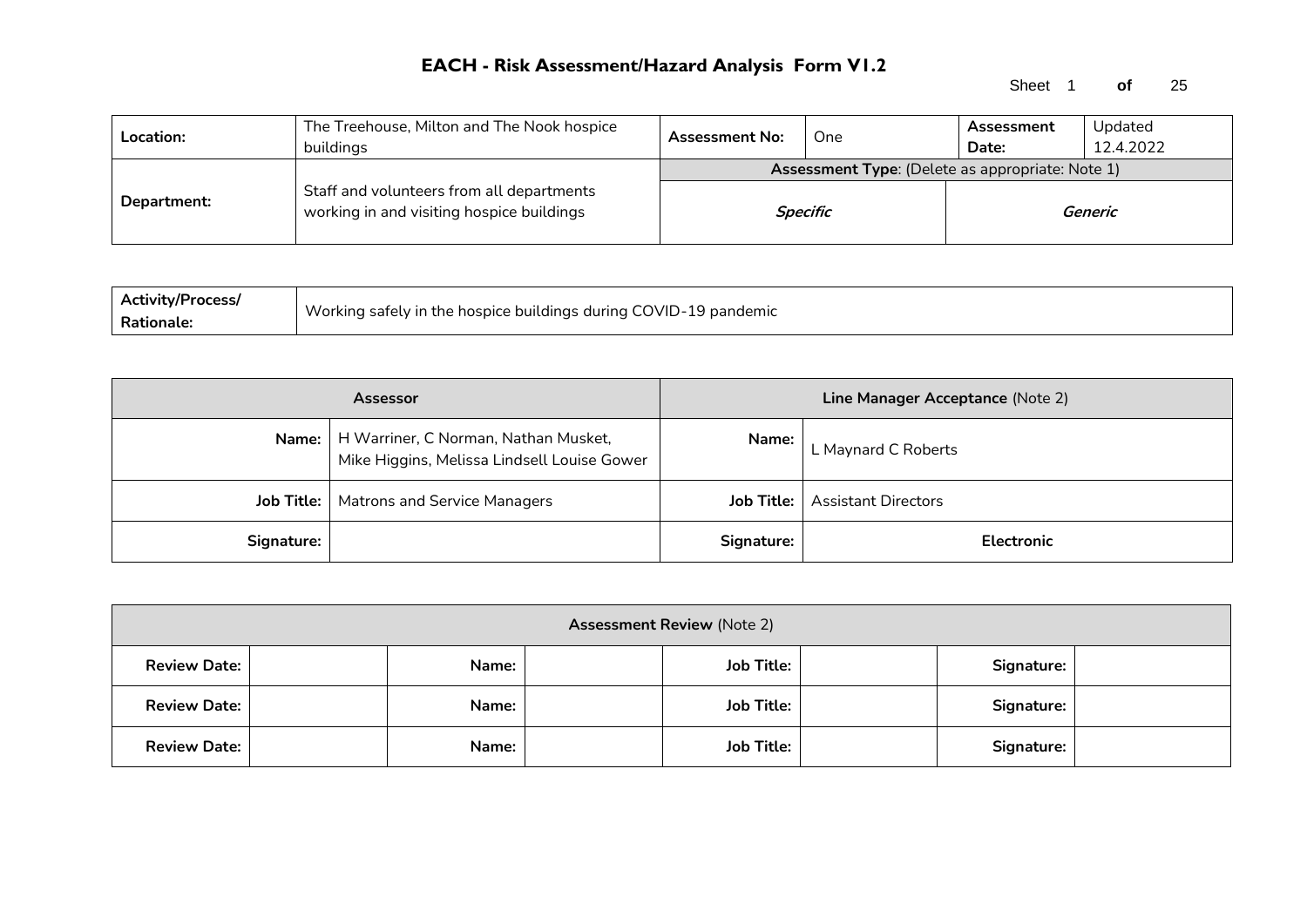Sheet 1 **of** 25

| Location:   | The Treehouse, Milton and The Nook hospice<br>buildinas                                | <b>Assessment No:</b>                                   | One      | Assessment<br>Date: | Updated<br>12.4.2022 |  |  |
|-------------|----------------------------------------------------------------------------------------|---------------------------------------------------------|----------|---------------------|----------------------|--|--|
|             |                                                                                        | <b>Assessment Type:</b> (Delete as appropriate: Note 1) |          |                     |                      |  |  |
| Department: | Staff and volunteers from all departments<br>working in and visiting hospice buildings |                                                         | Specific |                     | Generic              |  |  |

| <b>Activity/Process/</b> |                                                                  |
|--------------------------|------------------------------------------------------------------|
| Rationale.               | Working safely in the hospice buildings during COVID-19 pandemic |

|                   | <b>Assessor</b>                                                                             |              | Line Manager Acceptance (Note 2) |
|-------------------|---------------------------------------------------------------------------------------------|--------------|----------------------------------|
|                   | Name:   H Warriner, C Norman, Nathan Musket,<br>Mike Higgins, Melissa Lindsell Louise Gower | <b>Name:</b> | L Maynard C Roberts              |
| <b>Job Title:</b> | Matrons and Service Managers                                                                | Job Title: I | <b>Assistant Directors</b>       |
| Signature:        |                                                                                             | Signature:   | <b>Electronic</b>                |

| <b>Assessment Review (Note 2)</b> |  |       |  |                   |  |            |  |  |  |
|-----------------------------------|--|-------|--|-------------------|--|------------|--|--|--|
| <b>Review Date:</b>               |  | Name: |  | <b>Job Title:</b> |  | Signature: |  |  |  |
| <b>Review Date:</b>               |  | Name: |  | <b>Job Title:</b> |  | Signature: |  |  |  |
| <b>Review Date:</b>               |  | Name: |  | <b>Job Title:</b> |  | Signature: |  |  |  |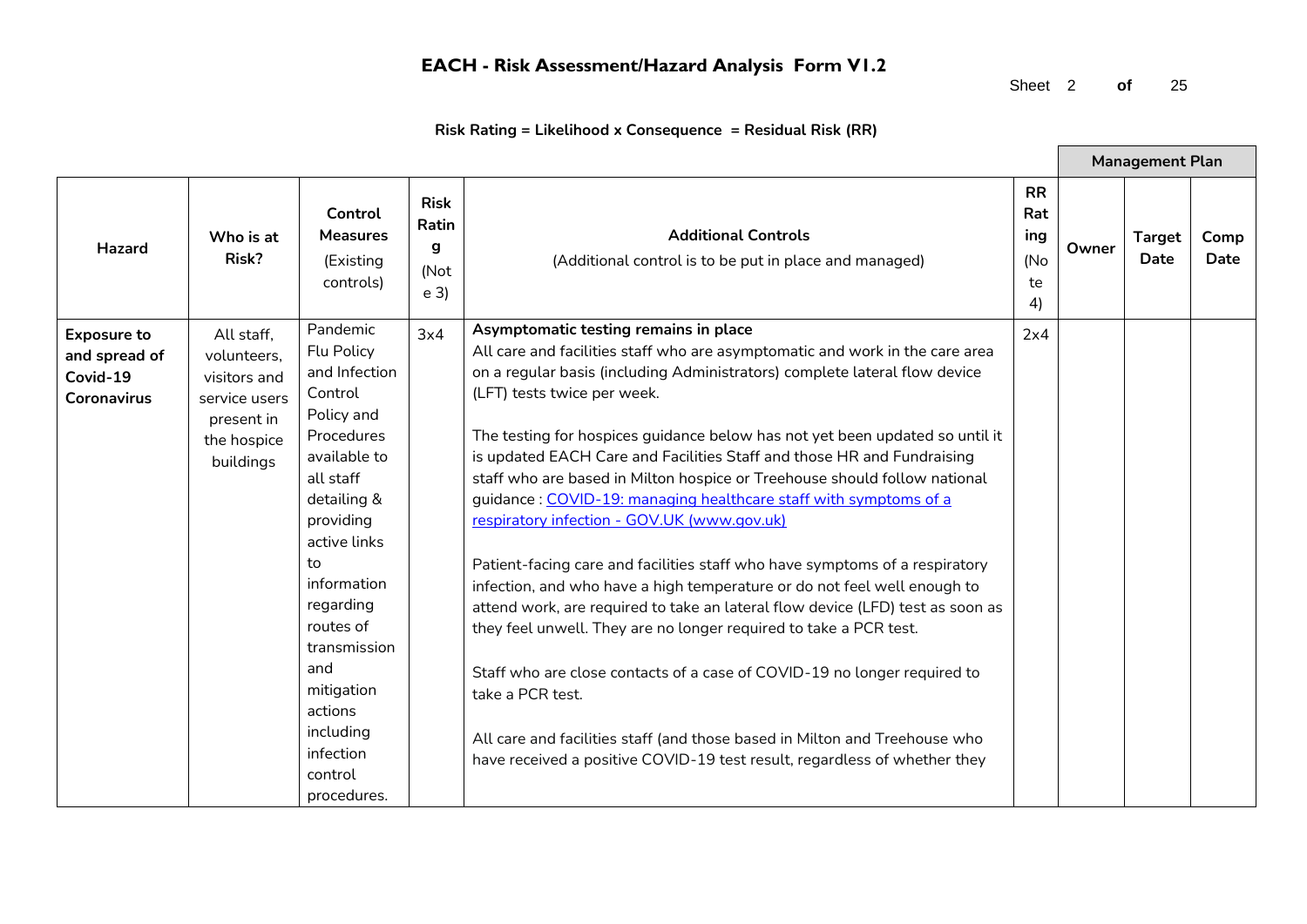Sheet 2 **of** 25

| Risk Rating = Likelihood x Consequence  = Residual Risk (RR) |  |
|--------------------------------------------------------------|--|
|--------------------------------------------------------------|--|

|                                                                       |                                                                                                      |                                                                                                                                                                                                                                                                                                                   |                                                     |                                                                                                                                                                                                                                                                                                                                                                                                                                                                                                                                                                                                                                                                                                                                                                                                                                                                                                                                                                                                                                                                                                                                                                           |                                            |       | <b>Management Plan</b>       |              |
|-----------------------------------------------------------------------|------------------------------------------------------------------------------------------------------|-------------------------------------------------------------------------------------------------------------------------------------------------------------------------------------------------------------------------------------------------------------------------------------------------------------------|-----------------------------------------------------|---------------------------------------------------------------------------------------------------------------------------------------------------------------------------------------------------------------------------------------------------------------------------------------------------------------------------------------------------------------------------------------------------------------------------------------------------------------------------------------------------------------------------------------------------------------------------------------------------------------------------------------------------------------------------------------------------------------------------------------------------------------------------------------------------------------------------------------------------------------------------------------------------------------------------------------------------------------------------------------------------------------------------------------------------------------------------------------------------------------------------------------------------------------------------|--------------------------------------------|-------|------------------------------|--------------|
| <b>Hazard</b>                                                         | Who is at<br>Risk?                                                                                   | Control<br><b>Measures</b><br>(Existing<br>controls)                                                                                                                                                                                                                                                              | <b>Risk</b><br>Ratin<br>g<br>(Not<br>e <sub>3</sub> | <b>Additional Controls</b><br>(Additional control is to be put in place and managed)                                                                                                                                                                                                                                                                                                                                                                                                                                                                                                                                                                                                                                                                                                                                                                                                                                                                                                                                                                                                                                                                                      | <b>RR</b><br>Rat<br>ing<br>(No<br>te<br>4) | Owner | <b>Target</b><br><b>Date</b> | Comp<br>Date |
| <b>Exposure to</b><br>and spread of<br>Covid-19<br><b>Coronavirus</b> | All staff.<br>volunteers,<br>visitors and<br>service users<br>present in<br>the hospice<br>buildings | Pandemic<br><b>Flu Policy</b><br>and Infection<br>Control<br>Policy and<br>Procedures<br>available to<br>all staff<br>detailing &<br>providing<br>active links<br>to<br>information<br>regarding<br>routes of<br>transmission<br>and<br>mitigation<br>actions<br>including<br>infection<br>control<br>procedures. | 3x4                                                 | Asymptomatic testing remains in place<br>All care and facilities staff who are asymptomatic and work in the care area<br>on a regular basis (including Administrators) complete lateral flow device<br>(LFT) tests twice per week.<br>The testing for hospices guidance below has not yet been updated so until it<br>is updated EACH Care and Facilities Staff and those HR and Fundraising<br>staff who are based in Milton hospice or Treehouse should follow national<br>guidance: COVID-19: managing healthcare staff with symptoms of a<br>respiratory infection - GOV.UK (www.gov.uk)<br>Patient-facing care and facilities staff who have symptoms of a respiratory<br>infection, and who have a high temperature or do not feel well enough to<br>attend work, are required to take an lateral flow device (LFD) test as soon as<br>they feel unwell. They are no longer required to take a PCR test.<br>Staff who are close contacts of a case of COVID-19 no longer required to<br>take a PCR test.<br>All care and facilities staff (and those based in Milton and Treehouse who<br>have received a positive COVID-19 test result, regardless of whether they | 2x4                                        |       |                              |              |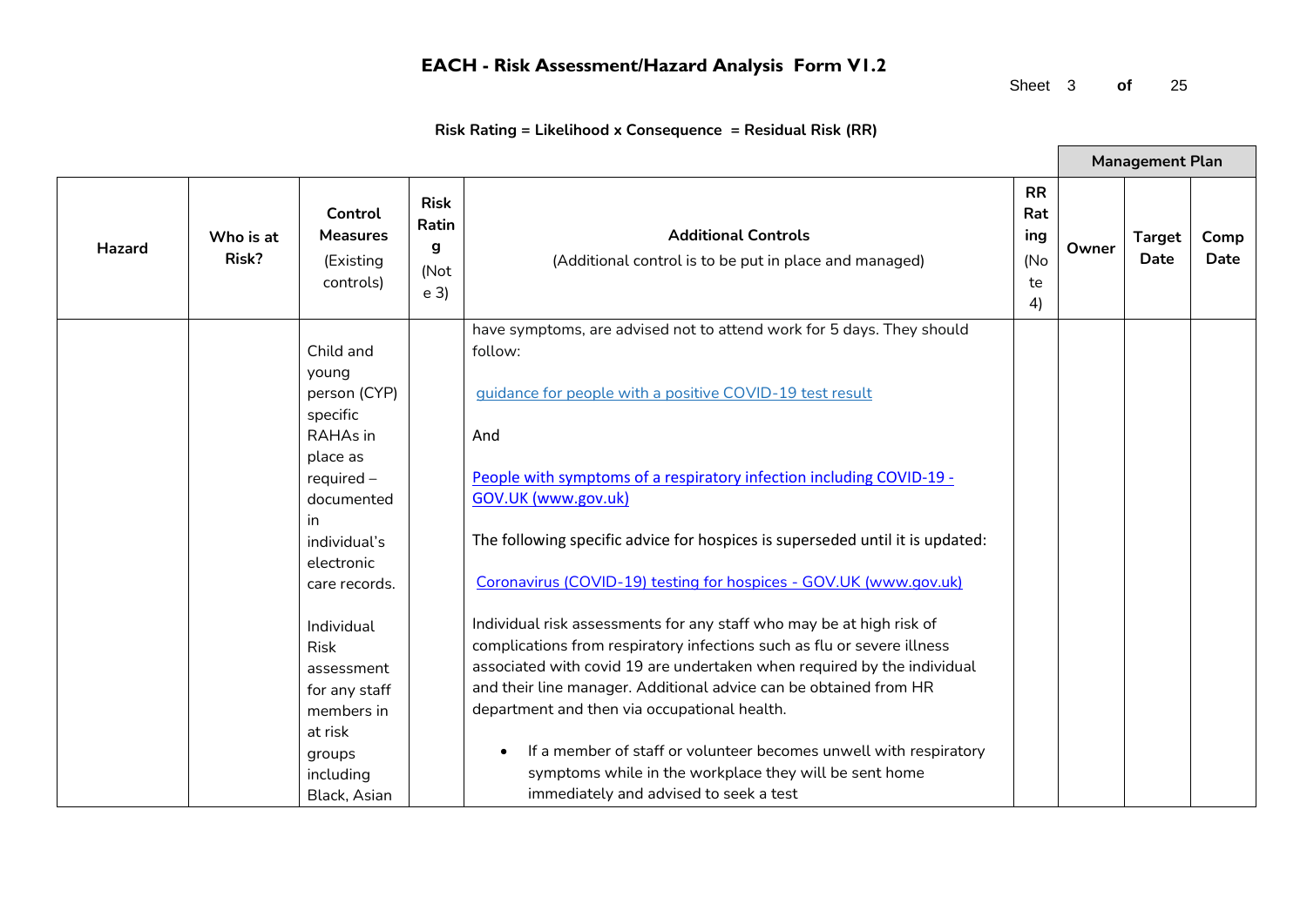Sheet 3 **of** 25

 $\blacksquare$ 

|               |                    |                                                                                                                                                            |                                                     |                                                                                                                                                                                                                                                                                                                                                                                                                                                                                                                                       |                                            |       | <b>Management Plan</b> |              |
|---------------|--------------------|------------------------------------------------------------------------------------------------------------------------------------------------------------|-----------------------------------------------------|---------------------------------------------------------------------------------------------------------------------------------------------------------------------------------------------------------------------------------------------------------------------------------------------------------------------------------------------------------------------------------------------------------------------------------------------------------------------------------------------------------------------------------------|--------------------------------------------|-------|------------------------|--------------|
| <b>Hazard</b> | Who is at<br>Risk? | Control<br><b>Measures</b><br>(Existing<br>controls)                                                                                                       | <b>Risk</b><br>Ratin<br>g<br>(Not<br>e <sub>3</sub> | <b>Additional Controls</b><br>(Additional control is to be put in place and managed)                                                                                                                                                                                                                                                                                                                                                                                                                                                  | <b>RR</b><br>Rat<br>ing<br>(No<br>te<br>4) | Owner | <b>Target</b><br>Date  | Comp<br>Date |
|               |                    | Child and<br>young<br>person (CYP)<br>specific<br>RAHAs in<br>place as<br>$required -$<br>documented<br>in.<br>individual's<br>electronic<br>care records. |                                                     | have symptoms, are advised not to attend work for 5 days. They should<br>follow:<br>guidance for people with a positive COVID-19 test result<br>And<br>People with symptoms of a respiratory infection including COVID-19 -<br>GOV.UK (www.gov.uk)<br>The following specific advice for hospices is superseded until it is updated:<br>Coronavirus (COVID-19) testing for hospices - GOV.UK (www.gov.uk)                                                                                                                              |                                            |       |                        |              |
|               |                    | Individual<br><b>Risk</b><br>assessment<br>for any staff<br>members in<br>at risk<br>groups<br>including<br>Black, Asian                                   |                                                     | Individual risk assessments for any staff who may be at high risk of<br>complications from respiratory infections such as flu or severe illness<br>associated with covid 19 are undertaken when required by the individual<br>and their line manager. Additional advice can be obtained from HR<br>department and then via occupational health.<br>If a member of staff or volunteer becomes unwell with respiratory<br>$\bullet$<br>symptoms while in the workplace they will be sent home<br>immediately and advised to seek a test |                                            |       |                        |              |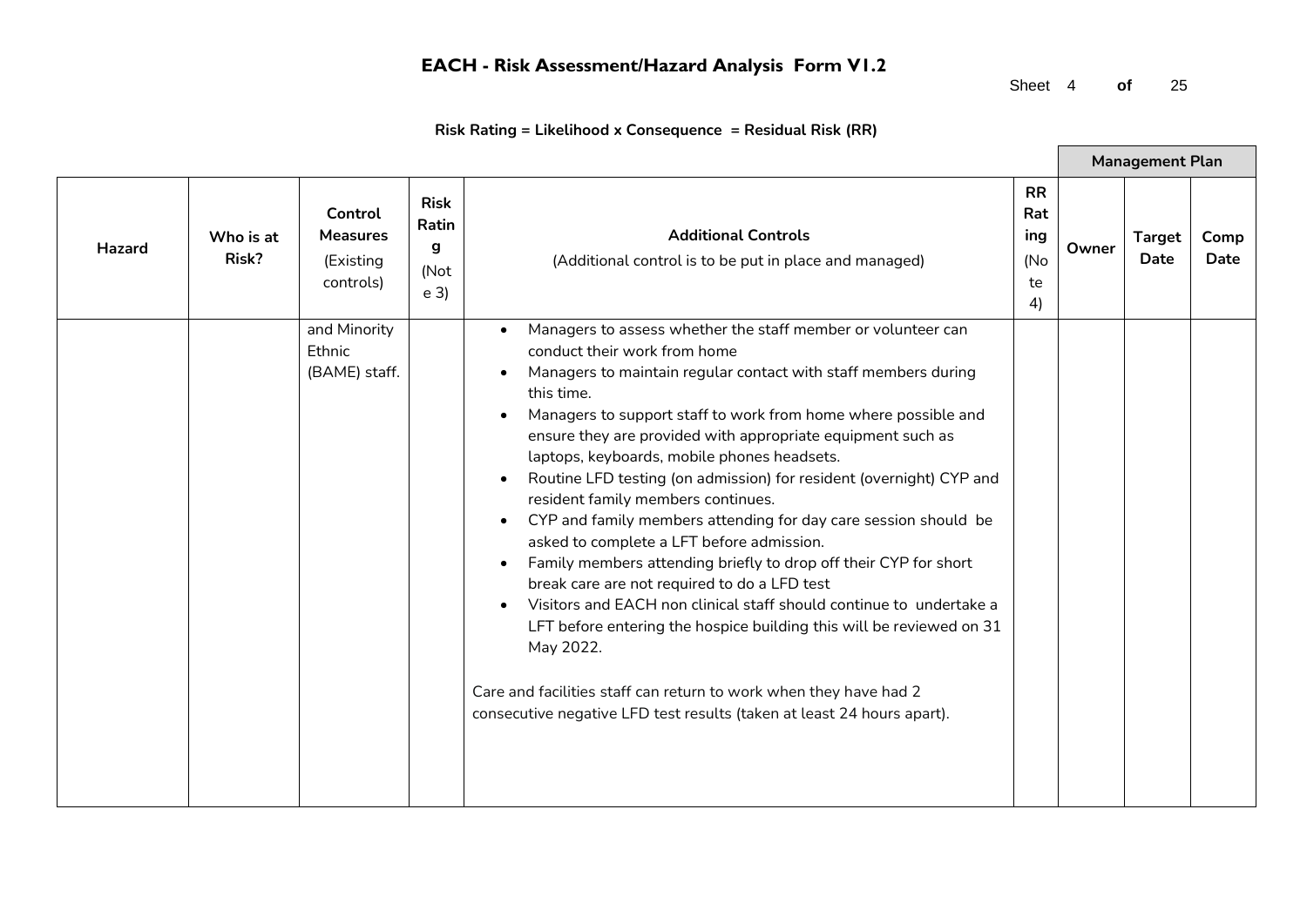Sheet 4 **of** 25

|        |                    |                                                      |                                                     |                                                                                                                                                                                                                                                                                                                                                                                                                                                                                                                                                                                                                                                                                                                                                                                                                                                                                                                                                                                                                          |                                            |       | <b>Management Plan</b> |              |
|--------|--------------------|------------------------------------------------------|-----------------------------------------------------|--------------------------------------------------------------------------------------------------------------------------------------------------------------------------------------------------------------------------------------------------------------------------------------------------------------------------------------------------------------------------------------------------------------------------------------------------------------------------------------------------------------------------------------------------------------------------------------------------------------------------------------------------------------------------------------------------------------------------------------------------------------------------------------------------------------------------------------------------------------------------------------------------------------------------------------------------------------------------------------------------------------------------|--------------------------------------------|-------|------------------------|--------------|
| Hazard | Who is at<br>Risk? | Control<br><b>Measures</b><br>(Existing<br>controls) | <b>Risk</b><br>Ratin<br>g<br>(Not<br>e <sub>3</sub> | <b>Additional Controls</b><br>(Additional control is to be put in place and managed)                                                                                                                                                                                                                                                                                                                                                                                                                                                                                                                                                                                                                                                                                                                                                                                                                                                                                                                                     | <b>RR</b><br>Rat<br>ing<br>(No<br>te<br>4) | Owner | <b>Target</b><br>Date  | Comp<br>Date |
|        |                    | and Minority<br>Ethnic<br>(BAME) staff.              |                                                     | Managers to assess whether the staff member or volunteer can<br>conduct their work from home<br>Managers to maintain regular contact with staff members during<br>this time.<br>Managers to support staff to work from home where possible and<br>ensure they are provided with appropriate equipment such as<br>laptops, keyboards, mobile phones headsets.<br>Routine LFD testing (on admission) for resident (overnight) CYP and<br>resident family members continues.<br>CYP and family members attending for day care session should be<br>asked to complete a LFT before admission.<br>Family members attending briefly to drop off their CYP for short<br>break care are not required to do a LFD test<br>Visitors and EACH non clinical staff should continue to undertake a<br>LFT before entering the hospice building this will be reviewed on 31<br>May 2022.<br>Care and facilities staff can return to work when they have had 2<br>consecutive negative LFD test results (taken at least 24 hours apart). |                                            |       |                        |              |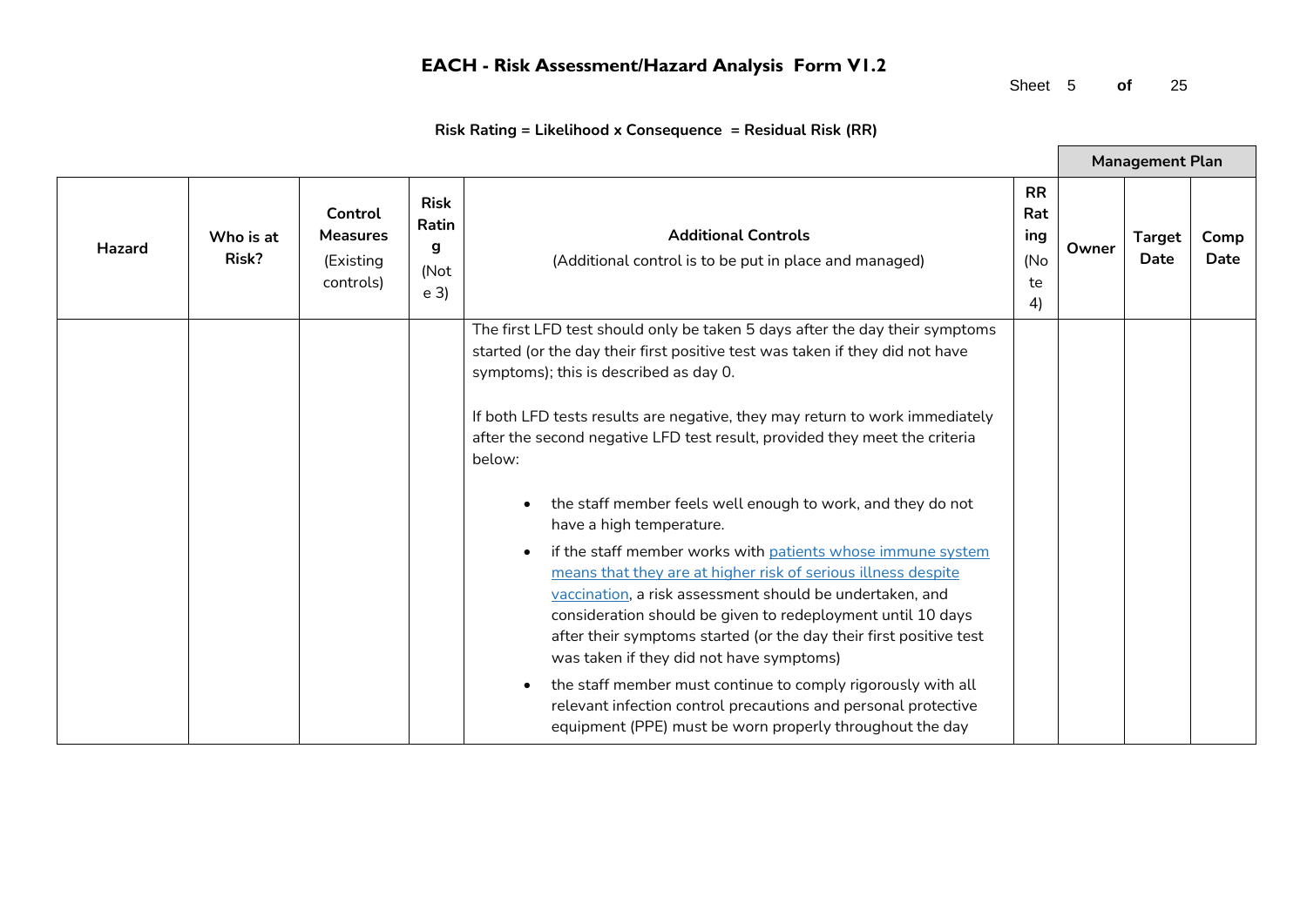Sheet 5 **of** 25

 $\blacksquare$ 

| Risk Rating = Likelihood x Consequence = Residual Risk (RR) |  |  |
|-------------------------------------------------------------|--|--|
|-------------------------------------------------------------|--|--|

|        |                    |                                                      |                                                     |                                                                                                                                                                                                                                                                                                                                                                                                                                                                                                                                                                                                                                                                                                                                                                                                                                                                                                                                                                                                                                                                                           |                                            |       | <b>Management Plan</b> |              |
|--------|--------------------|------------------------------------------------------|-----------------------------------------------------|-------------------------------------------------------------------------------------------------------------------------------------------------------------------------------------------------------------------------------------------------------------------------------------------------------------------------------------------------------------------------------------------------------------------------------------------------------------------------------------------------------------------------------------------------------------------------------------------------------------------------------------------------------------------------------------------------------------------------------------------------------------------------------------------------------------------------------------------------------------------------------------------------------------------------------------------------------------------------------------------------------------------------------------------------------------------------------------------|--------------------------------------------|-------|------------------------|--------------|
| Hazard | Who is at<br>Risk? | Control<br><b>Measures</b><br>(Existing<br>controls) | <b>Risk</b><br>Ratin<br>g<br>(Not<br>e <sub>3</sub> | <b>Additional Controls</b><br>(Additional control is to be put in place and managed)                                                                                                                                                                                                                                                                                                                                                                                                                                                                                                                                                                                                                                                                                                                                                                                                                                                                                                                                                                                                      | <b>RR</b><br>Rat<br>ing<br>(No<br>te<br>4) | Owner | <b>Target</b><br>Date  | Comp<br>Date |
|        |                    |                                                      |                                                     | The first LFD test should only be taken 5 days after the day their symptoms<br>started (or the day their first positive test was taken if they did not have<br>symptoms); this is described as day 0.<br>If both LFD tests results are negative, they may return to work immediately<br>after the second negative LFD test result, provided they meet the criteria<br>below:<br>the staff member feels well enough to work, and they do not<br>$\bullet$<br>have a high temperature.<br>if the staff member works with patients whose immune system<br>$\bullet$<br>means that they are at higher risk of serious illness despite<br>vaccination, a risk assessment should be undertaken, and<br>consideration should be given to redeployment until 10 days<br>after their symptoms started (or the day their first positive test<br>was taken if they did not have symptoms)<br>the staff member must continue to comply rigorously with all<br>$\bullet$<br>relevant infection control precautions and personal protective<br>equipment (PPE) must be worn properly throughout the day |                                            |       |                        |              |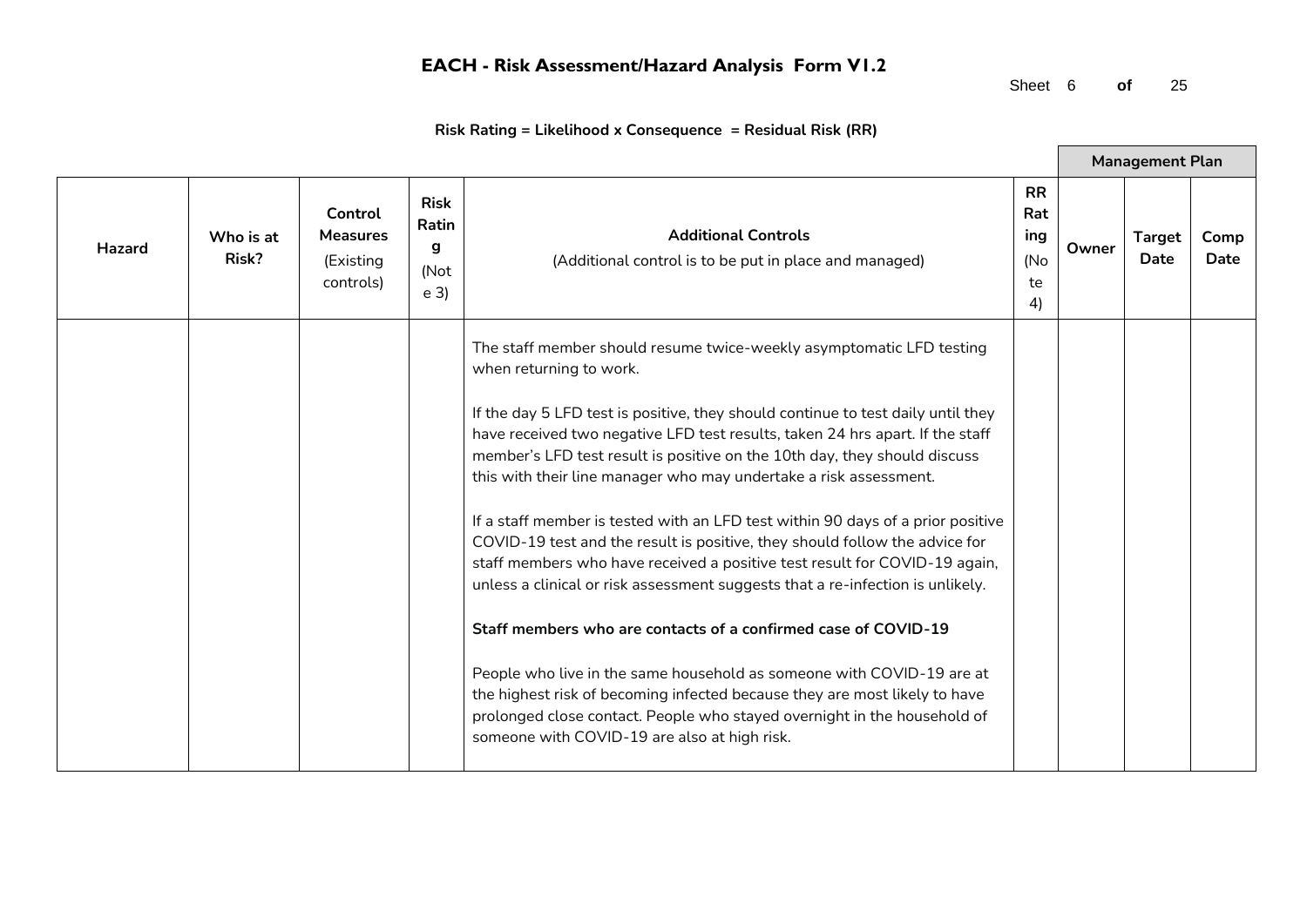Sheet 6 **of** 25

 $\blacksquare$ 

|        |                    |                                                      |                                                     |                                                                                                                                                                                                                                                                                                                                                                                                                                                                                                                                                                                                                                                                                                                                                                                                                                                                                                                                                                                                            |                                            |       | <b>Management Plan</b>       |              |
|--------|--------------------|------------------------------------------------------|-----------------------------------------------------|------------------------------------------------------------------------------------------------------------------------------------------------------------------------------------------------------------------------------------------------------------------------------------------------------------------------------------------------------------------------------------------------------------------------------------------------------------------------------------------------------------------------------------------------------------------------------------------------------------------------------------------------------------------------------------------------------------------------------------------------------------------------------------------------------------------------------------------------------------------------------------------------------------------------------------------------------------------------------------------------------------|--------------------------------------------|-------|------------------------------|--------------|
| Hazard | Who is at<br>Risk? | Control<br><b>Measures</b><br>(Existing<br>controls) | <b>Risk</b><br>Ratin<br>g<br>(Not<br>e <sub>3</sub> | <b>Additional Controls</b><br>(Additional control is to be put in place and managed)                                                                                                                                                                                                                                                                                                                                                                                                                                                                                                                                                                                                                                                                                                                                                                                                                                                                                                                       | <b>RR</b><br>Rat<br>ing<br>(No<br>te<br>4) | Owner | <b>Target</b><br><b>Date</b> | Comp<br>Date |
|        |                    |                                                      |                                                     | The staff member should resume twice-weekly asymptomatic LFD testing<br>when returning to work.                                                                                                                                                                                                                                                                                                                                                                                                                                                                                                                                                                                                                                                                                                                                                                                                                                                                                                            |                                            |       |                              |              |
|        |                    |                                                      |                                                     | If the day 5 LFD test is positive, they should continue to test daily until they<br>have received two negative LFD test results, taken 24 hrs apart. If the staff<br>member's LFD test result is positive on the 10th day, they should discuss<br>this with their line manager who may undertake a risk assessment.<br>If a staff member is tested with an LFD test within 90 days of a prior positive<br>COVID-19 test and the result is positive, they should follow the advice for<br>staff members who have received a positive test result for COVID-19 again,<br>unless a clinical or risk assessment suggests that a re-infection is unlikely.<br>Staff members who are contacts of a confirmed case of COVID-19<br>People who live in the same household as someone with COVID-19 are at<br>the highest risk of becoming infected because they are most likely to have<br>prolonged close contact. People who stayed overnight in the household of<br>someone with COVID-19 are also at high risk. |                                            |       |                              |              |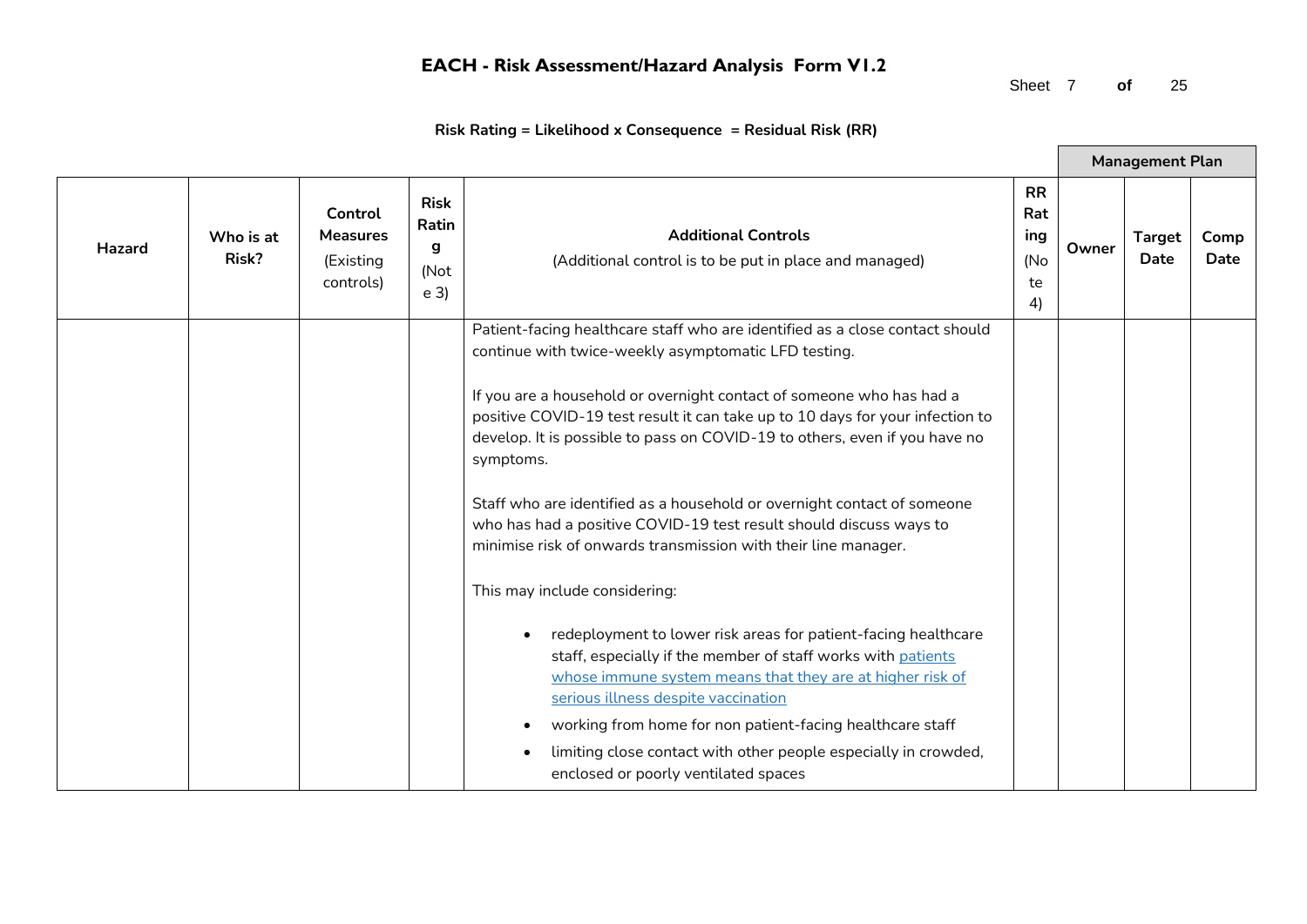Sheet 7 **of** 25

 $\blacksquare$ 

|               |                    |                                                      |                                                     |                                                                                                                                                                                                                                                                                                                                                                                                                                                                                                      |                                            |       | <b>Management Plan</b> |              |
|---------------|--------------------|------------------------------------------------------|-----------------------------------------------------|------------------------------------------------------------------------------------------------------------------------------------------------------------------------------------------------------------------------------------------------------------------------------------------------------------------------------------------------------------------------------------------------------------------------------------------------------------------------------------------------------|--------------------------------------------|-------|------------------------|--------------|
| <b>Hazard</b> | Who is at<br>Risk? | Control<br><b>Measures</b><br>(Existing<br>controls) | <b>Risk</b><br>Ratin<br>g<br>(Not<br>e <sub>3</sub> | <b>Additional Controls</b><br>(Additional control is to be put in place and managed)                                                                                                                                                                                                                                                                                                                                                                                                                 | <b>RR</b><br>Rat<br>ing<br>(No<br>te<br>4) | Owner | <b>Target</b><br>Date  | Comp<br>Date |
|               |                    |                                                      |                                                     | Patient-facing healthcare staff who are identified as a close contact should<br>continue with twice-weekly asymptomatic LFD testing.                                                                                                                                                                                                                                                                                                                                                                 |                                            |       |                        |              |
|               |                    |                                                      |                                                     | If you are a household or overnight contact of someone who has had a<br>positive COVID-19 test result it can take up to 10 days for your infection to<br>develop. It is possible to pass on COVID-19 to others, even if you have no<br>symptoms.<br>Staff who are identified as a household or overnight contact of someone<br>who has had a positive COVID-19 test result should discuss ways to<br>minimise risk of onwards transmission with their line manager.<br>This may include considering: |                                            |       |                        |              |
|               |                    |                                                      |                                                     | redeployment to lower risk areas for patient-facing healthcare<br>$\bullet$<br>staff, especially if the member of staff works with patients<br>whose immune system means that they are at higher risk of<br>serious illness despite vaccination<br>working from home for non patient-facing healthcare staff<br>limiting close contact with other people especially in crowded,<br>$\bullet$<br>enclosed or poorly ventilated spaces                                                                 |                                            |       |                        |              |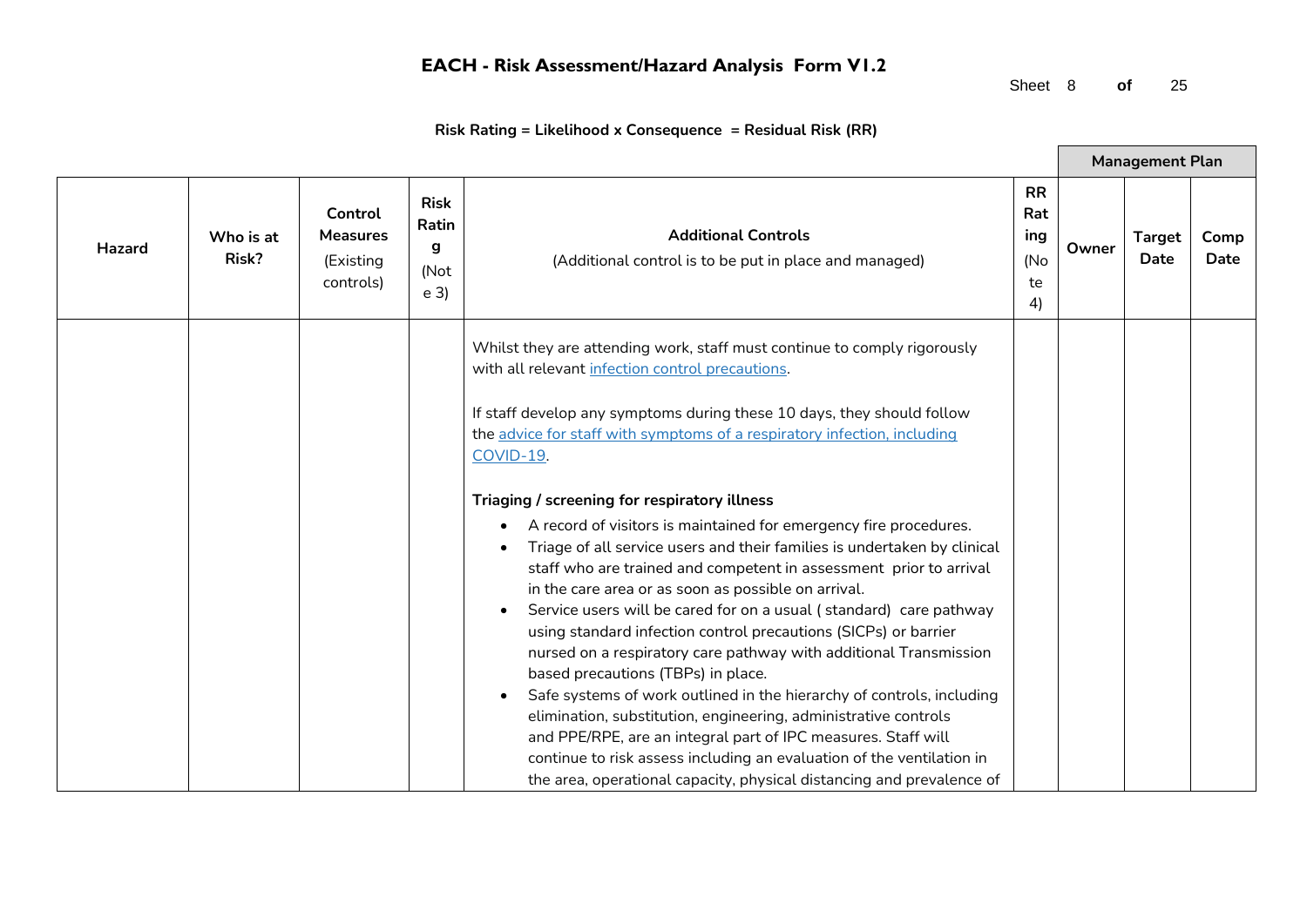Sheet 8 **of** 25

 $\blacksquare$ 

|        |                    |                                                      |                                                     |                                                                                                                                                                                                                                                                                                                                                                                                                                                                                                                                                                                                                                                                                                                                                                                                                                                                                                                                               |                                            |       | <b>Management Plan</b>       |              |
|--------|--------------------|------------------------------------------------------|-----------------------------------------------------|-----------------------------------------------------------------------------------------------------------------------------------------------------------------------------------------------------------------------------------------------------------------------------------------------------------------------------------------------------------------------------------------------------------------------------------------------------------------------------------------------------------------------------------------------------------------------------------------------------------------------------------------------------------------------------------------------------------------------------------------------------------------------------------------------------------------------------------------------------------------------------------------------------------------------------------------------|--------------------------------------------|-------|------------------------------|--------------|
| Hazard | Who is at<br>Risk? | Control<br><b>Measures</b><br>(Existing<br>controls) | <b>Risk</b><br>Ratin<br>g<br>(Not<br>e <sub>3</sub> | <b>Additional Controls</b><br>(Additional control is to be put in place and managed)                                                                                                                                                                                                                                                                                                                                                                                                                                                                                                                                                                                                                                                                                                                                                                                                                                                          | <b>RR</b><br>Rat<br>ing<br>(No<br>te<br>4) | Owner | <b>Target</b><br><b>Date</b> | Comp<br>Date |
|        |                    |                                                      |                                                     | Whilst they are attending work, staff must continue to comply rigorously<br>with all relevant infection control precautions.<br>If staff develop any symptoms during these 10 days, they should follow                                                                                                                                                                                                                                                                                                                                                                                                                                                                                                                                                                                                                                                                                                                                        |                                            |       |                              |              |
|        |                    |                                                      |                                                     | the advice for staff with symptoms of a respiratory infection, including<br>COVID-19.                                                                                                                                                                                                                                                                                                                                                                                                                                                                                                                                                                                                                                                                                                                                                                                                                                                         |                                            |       |                              |              |
|        |                    |                                                      |                                                     | Triaging / screening for respiratory illness<br>A record of visitors is maintained for emergency fire procedures.<br>Triage of all service users and their families is undertaken by clinical<br>staff who are trained and competent in assessment prior to arrival<br>in the care area or as soon as possible on arrival.<br>Service users will be cared for on a usual (standard) care pathway<br>using standard infection control precautions (SICPs) or barrier<br>nursed on a respiratory care pathway with additional Transmission<br>based precautions (TBPs) in place.<br>Safe systems of work outlined in the hierarchy of controls, including<br>elimination, substitution, engineering, administrative controls<br>and PPE/RPE, are an integral part of IPC measures. Staff will<br>continue to risk assess including an evaluation of the ventilation in<br>the area, operational capacity, physical distancing and prevalence of |                                            |       |                              |              |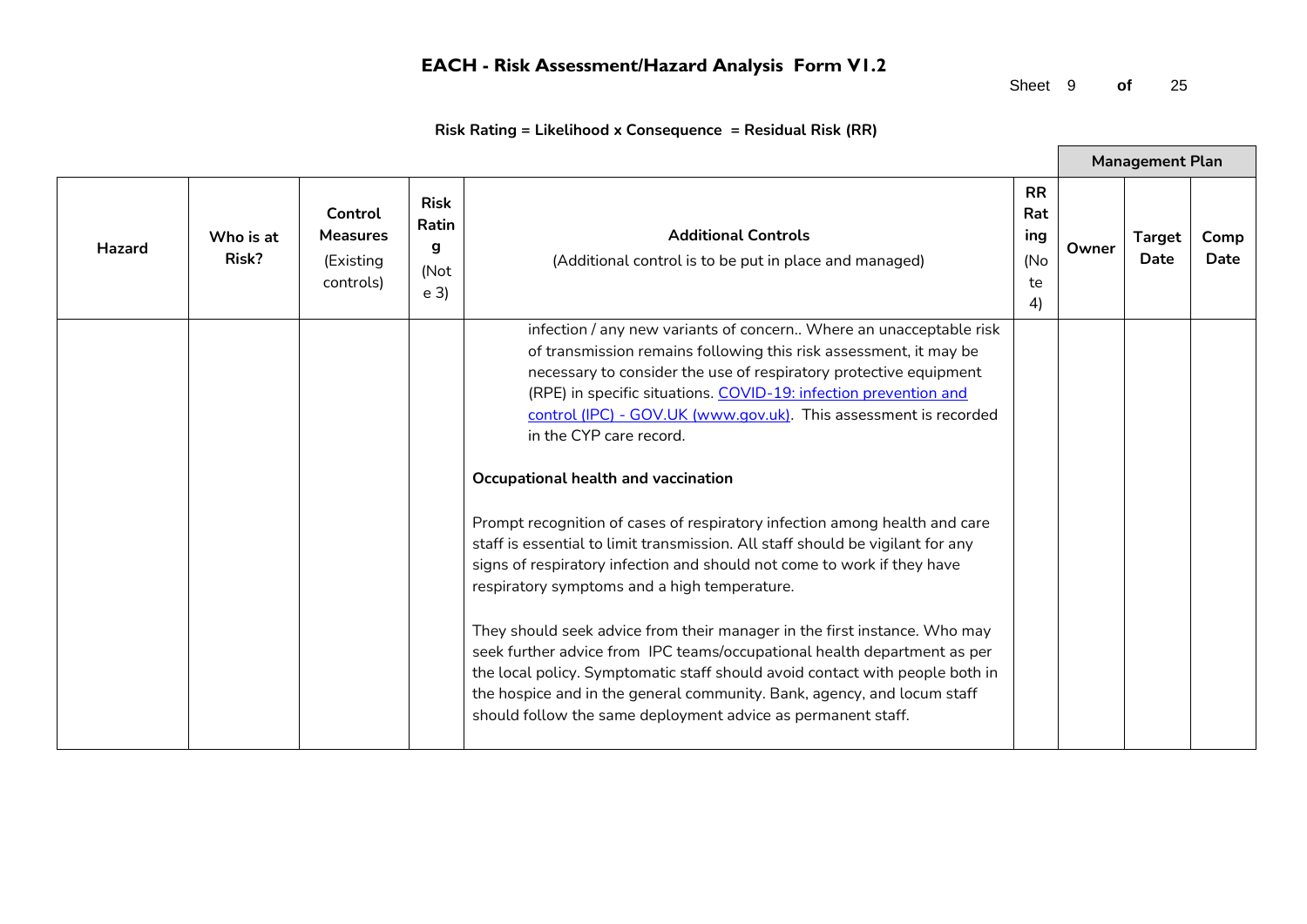Sheet 9 **of** 25

 $\blacksquare$ 

|               |                    |                                                      |                                                     |                                                                                                                                                                                                                                                                                                                                                                                                                                                                                                                                                                                                                                                                                                                                                                                                                                                                                                                                                                                                                                                                                                       |                                            |       | <b>Management Plan</b> |              |
|---------------|--------------------|------------------------------------------------------|-----------------------------------------------------|-------------------------------------------------------------------------------------------------------------------------------------------------------------------------------------------------------------------------------------------------------------------------------------------------------------------------------------------------------------------------------------------------------------------------------------------------------------------------------------------------------------------------------------------------------------------------------------------------------------------------------------------------------------------------------------------------------------------------------------------------------------------------------------------------------------------------------------------------------------------------------------------------------------------------------------------------------------------------------------------------------------------------------------------------------------------------------------------------------|--------------------------------------------|-------|------------------------|--------------|
| <b>Hazard</b> | Who is at<br>Risk? | Control<br><b>Measures</b><br>(Existing<br>controls) | <b>Risk</b><br>Ratin<br>g<br>(Not<br>e <sub>3</sub> | <b>Additional Controls</b><br>(Additional control is to be put in place and managed)                                                                                                                                                                                                                                                                                                                                                                                                                                                                                                                                                                                                                                                                                                                                                                                                                                                                                                                                                                                                                  | <b>RR</b><br>Rat<br>ing<br>(No<br>te<br>4) | Owner | <b>Target</b><br>Date  | Comp<br>Date |
|               |                    |                                                      |                                                     | infection / any new variants of concern Where an unacceptable risk<br>of transmission remains following this risk assessment, it may be<br>necessary to consider the use of respiratory protective equipment<br>(RPE) in specific situations. COVID-19: infection prevention and<br>control (IPC) - GOV.UK (www.gov.uk). This assessment is recorded<br>in the CYP care record.<br>Occupational health and vaccination<br>Prompt recognition of cases of respiratory infection among health and care<br>staff is essential to limit transmission. All staff should be vigilant for any<br>signs of respiratory infection and should not come to work if they have<br>respiratory symptoms and a high temperature.<br>They should seek advice from their manager in the first instance. Who may<br>seek further advice from IPC teams/occupational health department as per<br>the local policy. Symptomatic staff should avoid contact with people both in<br>the hospice and in the general community. Bank, agency, and locum staff<br>should follow the same deployment advice as permanent staff. |                                            |       |                        |              |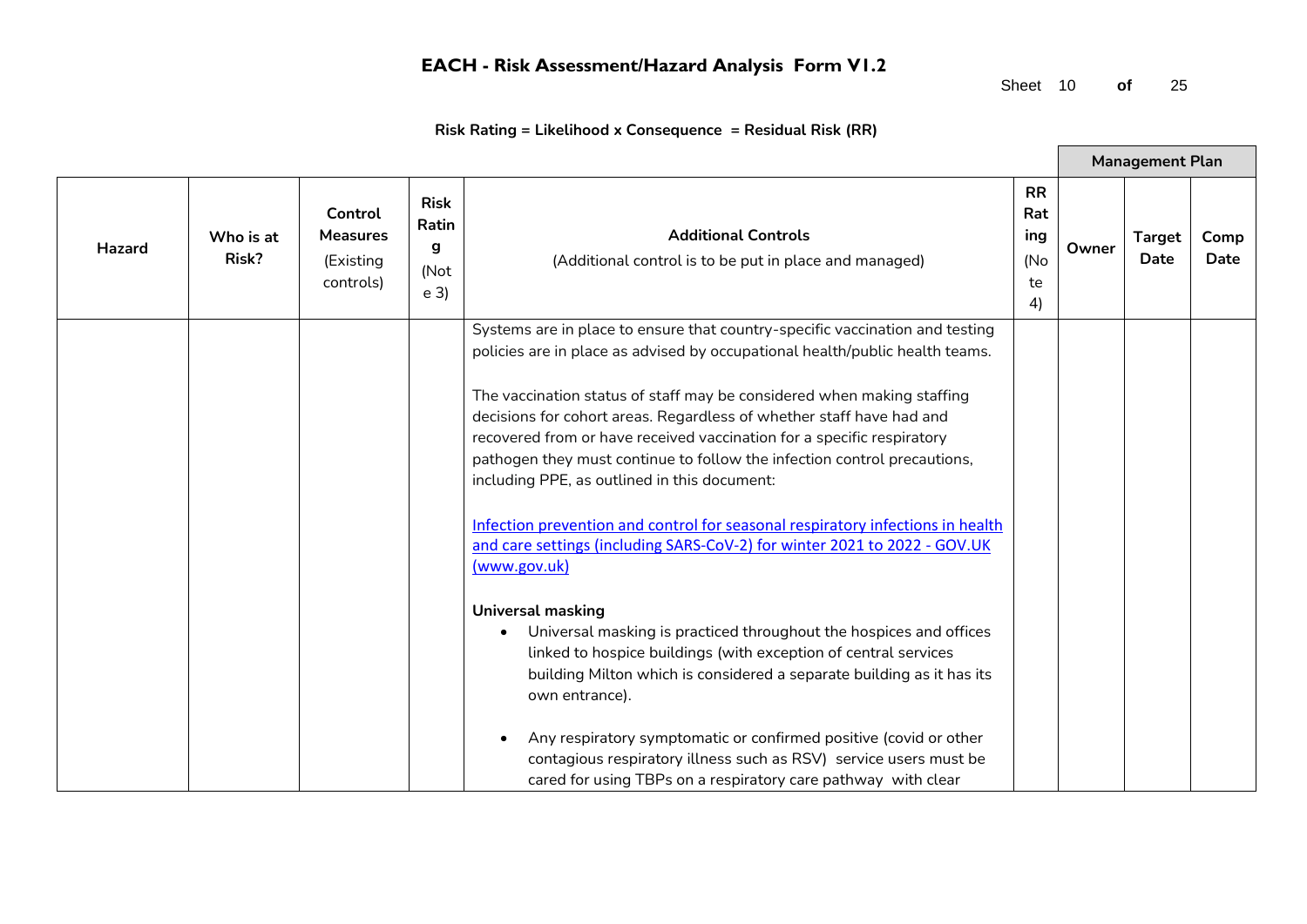Sheet 10 **of** 25

 $\blacksquare$ 

|        |                    |                                                      |                                                     |                                                                                                                                                                                                                                                                                                                                                                                                                                                                                                                                                                                                                                                                                                     |                                            |       | <b>Management Plan</b> |              |
|--------|--------------------|------------------------------------------------------|-----------------------------------------------------|-----------------------------------------------------------------------------------------------------------------------------------------------------------------------------------------------------------------------------------------------------------------------------------------------------------------------------------------------------------------------------------------------------------------------------------------------------------------------------------------------------------------------------------------------------------------------------------------------------------------------------------------------------------------------------------------------------|--------------------------------------------|-------|------------------------|--------------|
| Hazard | Who is at<br>Risk? | Control<br><b>Measures</b><br>(Existing<br>controls) | <b>Risk</b><br>Ratin<br>g<br>(Not<br>e <sub>3</sub> | <b>Additional Controls</b><br>(Additional control is to be put in place and managed)                                                                                                                                                                                                                                                                                                                                                                                                                                                                                                                                                                                                                | <b>RR</b><br>Rat<br>ing<br>(No<br>te<br>4) | Owner | <b>Target</b><br>Date  | Comp<br>Date |
|        |                    |                                                      |                                                     | Systems are in place to ensure that country-specific vaccination and testing<br>policies are in place as advised by occupational health/public health teams.<br>The vaccination status of staff may be considered when making staffing<br>decisions for cohort areas. Regardless of whether staff have had and<br>recovered from or have received vaccination for a specific respiratory<br>pathogen they must continue to follow the infection control precautions,<br>including PPE, as outlined in this document:<br>Infection prevention and control for seasonal respiratory infections in health<br>and care settings (including SARS-CoV-2) for winter 2021 to 2022 - GOV.UK<br>(www.gov.uk) |                                            |       |                        |              |
|        |                    |                                                      |                                                     | <b>Universal masking</b><br>Universal masking is practiced throughout the hospices and offices<br>linked to hospice buildings (with exception of central services<br>building Milton which is considered a separate building as it has its<br>own entrance).<br>Any respiratory symptomatic or confirmed positive (covid or other<br>contagious respiratory illness such as RSV) service users must be<br>cared for using TBPs on a respiratory care pathway with clear                                                                                                                                                                                                                             |                                            |       |                        |              |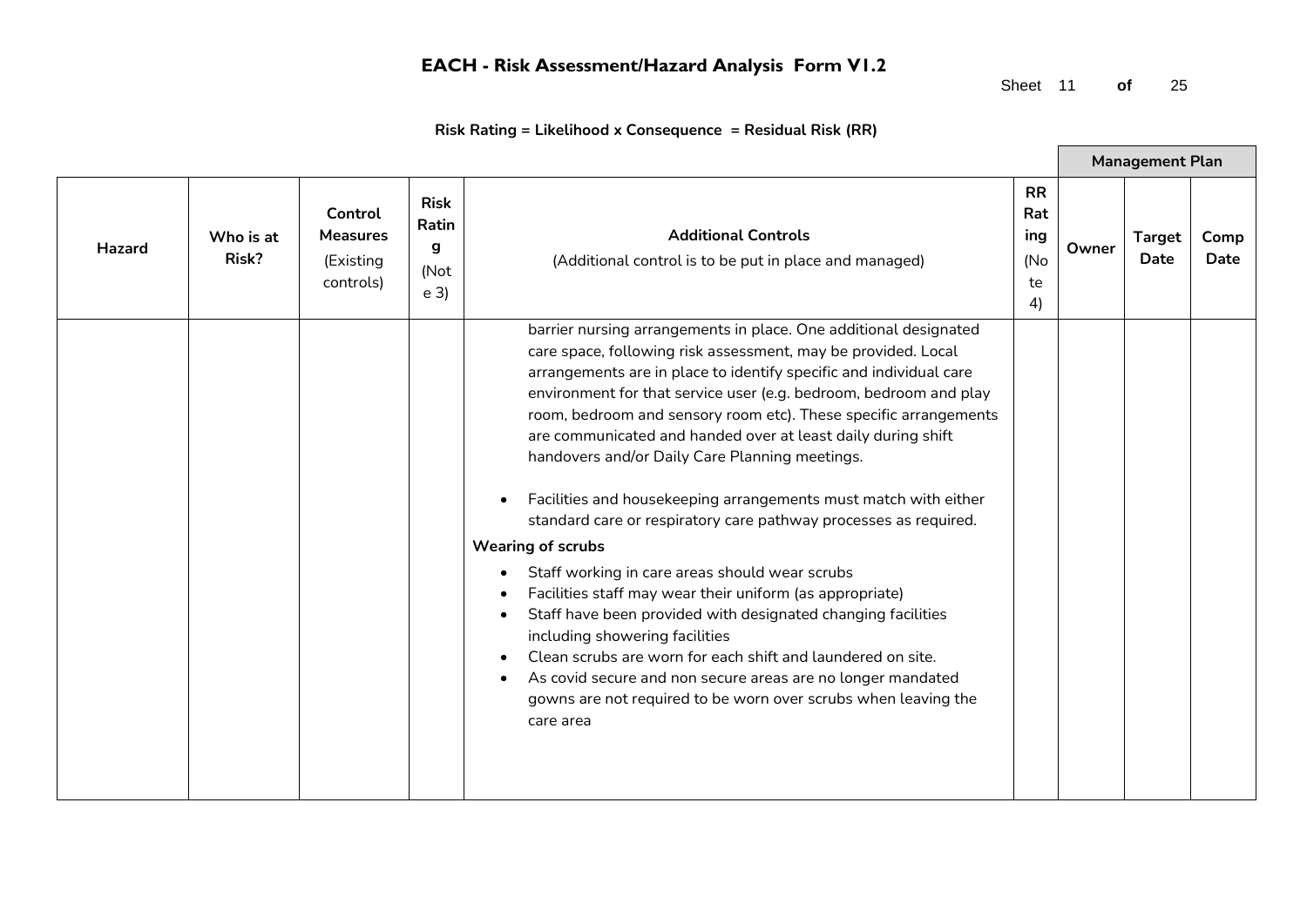Sheet 11 **of** 25

|        |                    |                                                      |                                                     |                                                                                                                                                                                                                                                                                                                                                                                                                                                                                                                                                                                                                                                                                                                                                                                                                                                                                                                                                                                                                                                                    |                                            |       | <b>Management Plan</b>       |              |
|--------|--------------------|------------------------------------------------------|-----------------------------------------------------|--------------------------------------------------------------------------------------------------------------------------------------------------------------------------------------------------------------------------------------------------------------------------------------------------------------------------------------------------------------------------------------------------------------------------------------------------------------------------------------------------------------------------------------------------------------------------------------------------------------------------------------------------------------------------------------------------------------------------------------------------------------------------------------------------------------------------------------------------------------------------------------------------------------------------------------------------------------------------------------------------------------------------------------------------------------------|--------------------------------------------|-------|------------------------------|--------------|
| Hazard | Who is at<br>Risk? | Control<br><b>Measures</b><br>(Existing<br>controls) | <b>Risk</b><br>Ratin<br>q<br>(Not<br>e <sub>3</sub> | <b>Additional Controls</b><br>(Additional control is to be put in place and managed)                                                                                                                                                                                                                                                                                                                                                                                                                                                                                                                                                                                                                                                                                                                                                                                                                                                                                                                                                                               | <b>RR</b><br>Rat<br>ing<br>(No<br>te<br>4) | Owner | <b>Target</b><br><b>Date</b> | Comp<br>Date |
|        |                    |                                                      |                                                     | barrier nursing arrangements in place. One additional designated<br>care space, following risk assessment, may be provided. Local<br>arrangements are in place to identify specific and individual care<br>environment for that service user (e.g. bedroom, bedroom and play<br>room, bedroom and sensory room etc). These specific arrangements<br>are communicated and handed over at least daily during shift<br>handovers and/or Daily Care Planning meetings.<br>Facilities and housekeeping arrangements must match with either<br>standard care or respiratory care pathway processes as required.<br><b>Wearing of scrubs</b><br>Staff working in care areas should wear scrubs<br>Facilities staff may wear their uniform (as appropriate)<br>Staff have been provided with designated changing facilities<br>including showering facilities<br>Clean scrubs are worn for each shift and laundered on site.<br>As covid secure and non secure areas are no longer mandated<br>gowns are not required to be worn over scrubs when leaving the<br>care area |                                            |       |                              |              |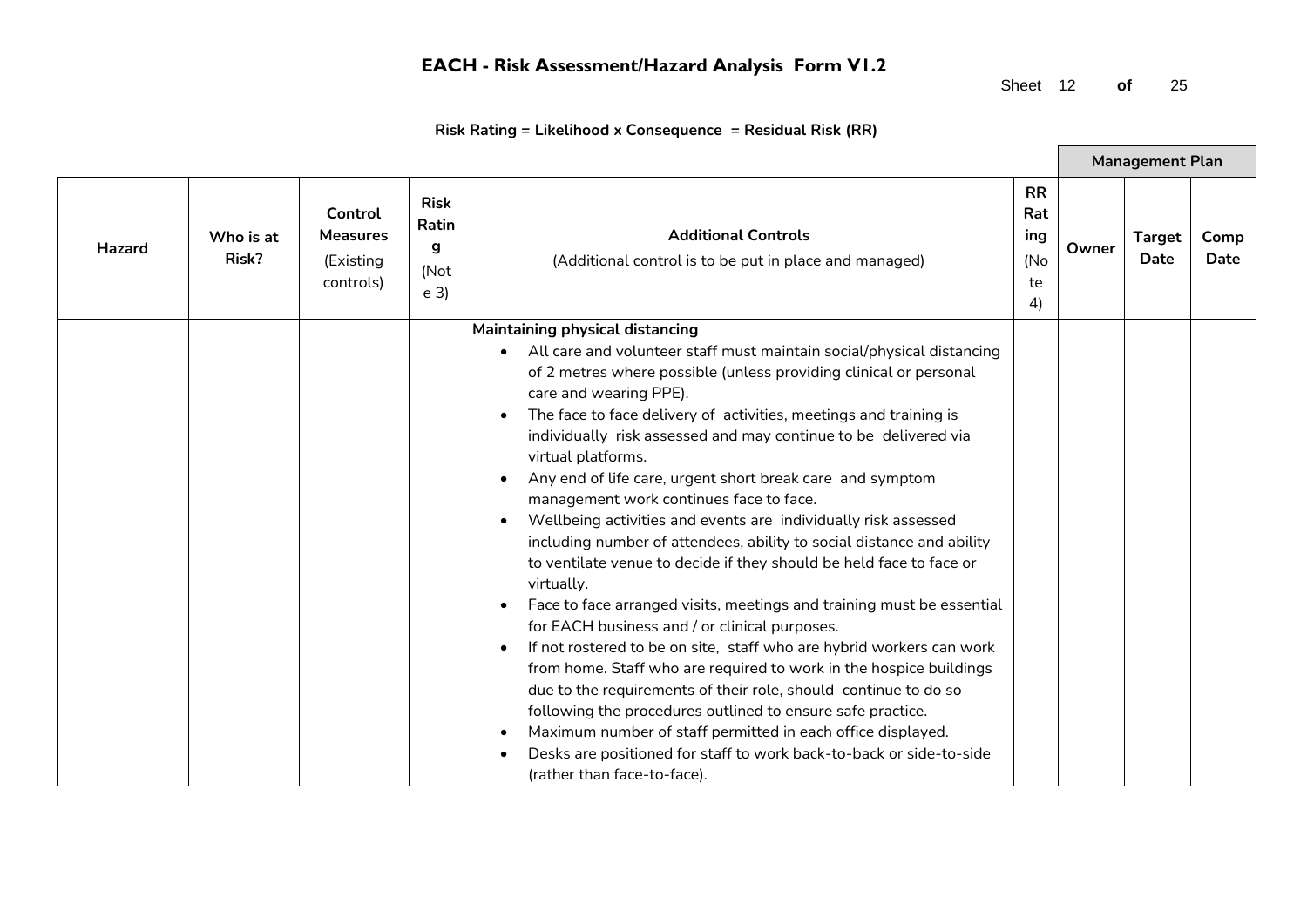Sheet 12 **of** 25

 $\blacksquare$ 

|        |                    |                                                      |                                                     |                                                                                                                                                                                                                                                                                                                                                                                                                                                                                                                                                                                                                                                                                                                                                                                                                                                                                                                                                                                                                                                                                                                                                                                                                                                                                               |                                            |       | <b>Management Plan</b> |              |
|--------|--------------------|------------------------------------------------------|-----------------------------------------------------|-----------------------------------------------------------------------------------------------------------------------------------------------------------------------------------------------------------------------------------------------------------------------------------------------------------------------------------------------------------------------------------------------------------------------------------------------------------------------------------------------------------------------------------------------------------------------------------------------------------------------------------------------------------------------------------------------------------------------------------------------------------------------------------------------------------------------------------------------------------------------------------------------------------------------------------------------------------------------------------------------------------------------------------------------------------------------------------------------------------------------------------------------------------------------------------------------------------------------------------------------------------------------------------------------|--------------------------------------------|-------|------------------------|--------------|
| Hazard | Who is at<br>Risk? | Control<br><b>Measures</b><br>(Existing<br>controls) | <b>Risk</b><br>Ratin<br>g<br>(Not<br>e <sub>3</sub> | <b>Additional Controls</b><br>(Additional control is to be put in place and managed)                                                                                                                                                                                                                                                                                                                                                                                                                                                                                                                                                                                                                                                                                                                                                                                                                                                                                                                                                                                                                                                                                                                                                                                                          | <b>RR</b><br>Rat<br>ing<br>(No<br>te<br>4) | Owner | <b>Target</b><br>Date  | Comp<br>Date |
|        |                    |                                                      |                                                     | Maintaining physical distancing<br>• All care and volunteer staff must maintain social/physical distancing<br>of 2 metres where possible (unless providing clinical or personal<br>care and wearing PPE).<br>The face to face delivery of activities, meetings and training is<br>individually risk assessed and may continue to be delivered via<br>virtual platforms.<br>Any end of life care, urgent short break care and symptom<br>management work continues face to face.<br>Wellbeing activities and events are individually risk assessed<br>including number of attendees, ability to social distance and ability<br>to ventilate venue to decide if they should be held face to face or<br>virtually.<br>Face to face arranged visits, meetings and training must be essential<br>for EACH business and / or clinical purposes.<br>If not rostered to be on site, staff who are hybrid workers can work<br>from home. Staff who are required to work in the hospice buildings<br>due to the requirements of their role, should continue to do so<br>following the procedures outlined to ensure safe practice.<br>Maximum number of staff permitted in each office displayed.<br>Desks are positioned for staff to work back-to-back or side-to-side<br>(rather than face-to-face). |                                            |       |                        |              |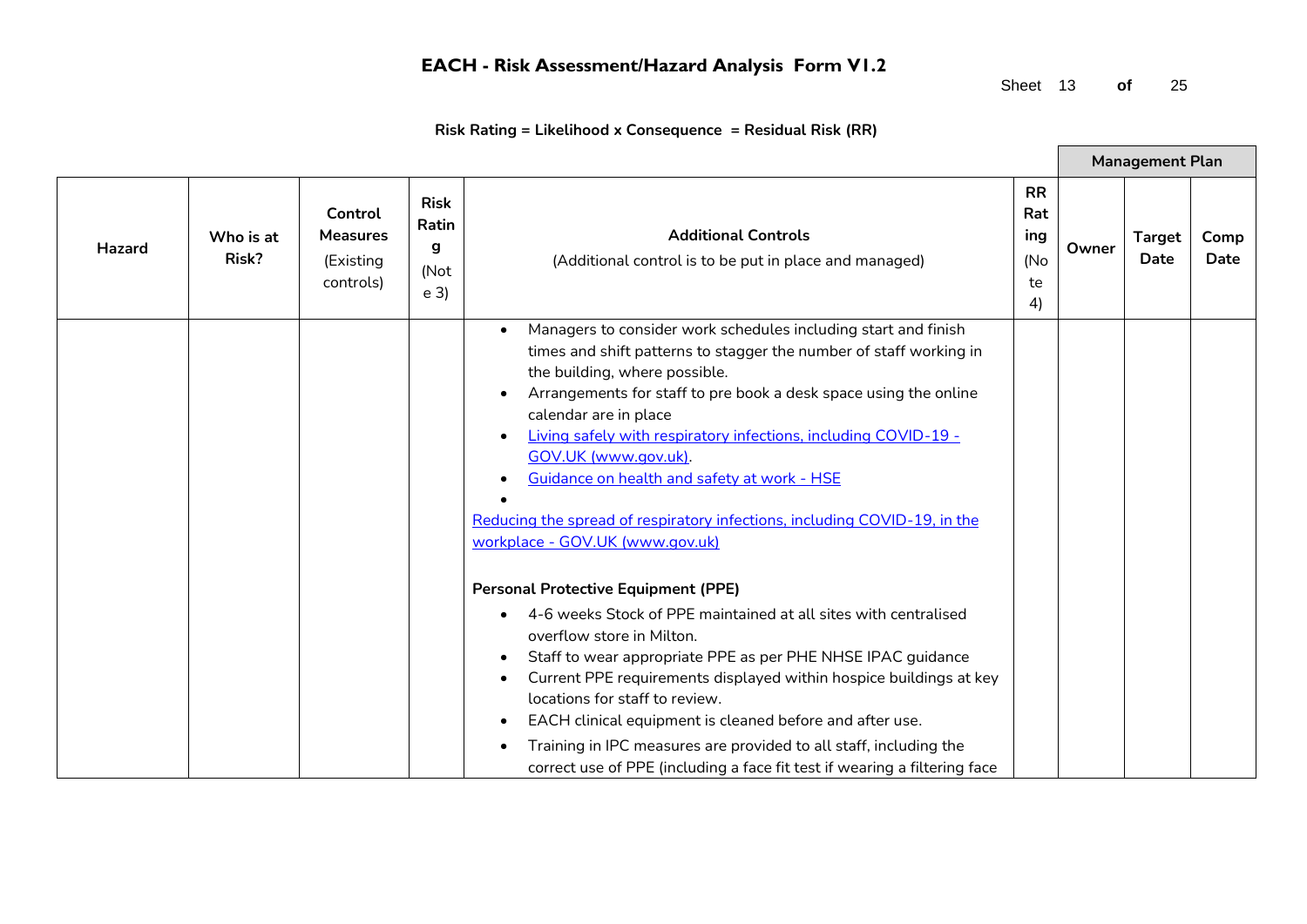Sheet 13 **of** 25

 $\blacksquare$ 

|               |                    |                                                      |                                                     |                                                                                                                                                                                                                                                                                                                                                                                                                                                                                                                                                                                                                                                                                                                                                                                                                                                                                                                                                                                                                                                                                           |                                            |       | <b>Management Plan</b>       |              |
|---------------|--------------------|------------------------------------------------------|-----------------------------------------------------|-------------------------------------------------------------------------------------------------------------------------------------------------------------------------------------------------------------------------------------------------------------------------------------------------------------------------------------------------------------------------------------------------------------------------------------------------------------------------------------------------------------------------------------------------------------------------------------------------------------------------------------------------------------------------------------------------------------------------------------------------------------------------------------------------------------------------------------------------------------------------------------------------------------------------------------------------------------------------------------------------------------------------------------------------------------------------------------------|--------------------------------------------|-------|------------------------------|--------------|
| <b>Hazard</b> | Who is at<br>Risk? | Control<br><b>Measures</b><br>(Existing<br>controls) | <b>Risk</b><br>Ratin<br>g<br>(Not<br>e <sub>3</sub> | <b>Additional Controls</b><br>(Additional control is to be put in place and managed)                                                                                                                                                                                                                                                                                                                                                                                                                                                                                                                                                                                                                                                                                                                                                                                                                                                                                                                                                                                                      | <b>RR</b><br>Rat<br>ing<br>(No<br>te<br>4) | Owner | <b>Target</b><br><b>Date</b> | Comp<br>Date |
|               |                    |                                                      |                                                     | Managers to consider work schedules including start and finish<br>times and shift patterns to stagger the number of staff working in<br>the building, where possible.<br>Arrangements for staff to pre book a desk space using the online<br>calendar are in place<br>Living safely with respiratory infections, including COVID-19 -<br>GOV.UK (www.gov.uk).<br>Guidance on health and safety at work - HSE<br>Reducing the spread of respiratory infections, including COVID-19, in the<br>workplace - GOV.UK (www.gov.uk)<br><b>Personal Protective Equipment (PPE)</b><br>4-6 weeks Stock of PPE maintained at all sites with centralised<br>overflow store in Milton.<br>Staff to wear appropriate PPE as per PHE NHSE IPAC guidance<br>$\bullet$<br>Current PPE requirements displayed within hospice buildings at key<br>locations for staff to review.<br>EACH clinical equipment is cleaned before and after use.<br>$\bullet$<br>Training in IPC measures are provided to all staff, including the<br>correct use of PPE (including a face fit test if wearing a filtering face |                                            |       |                              |              |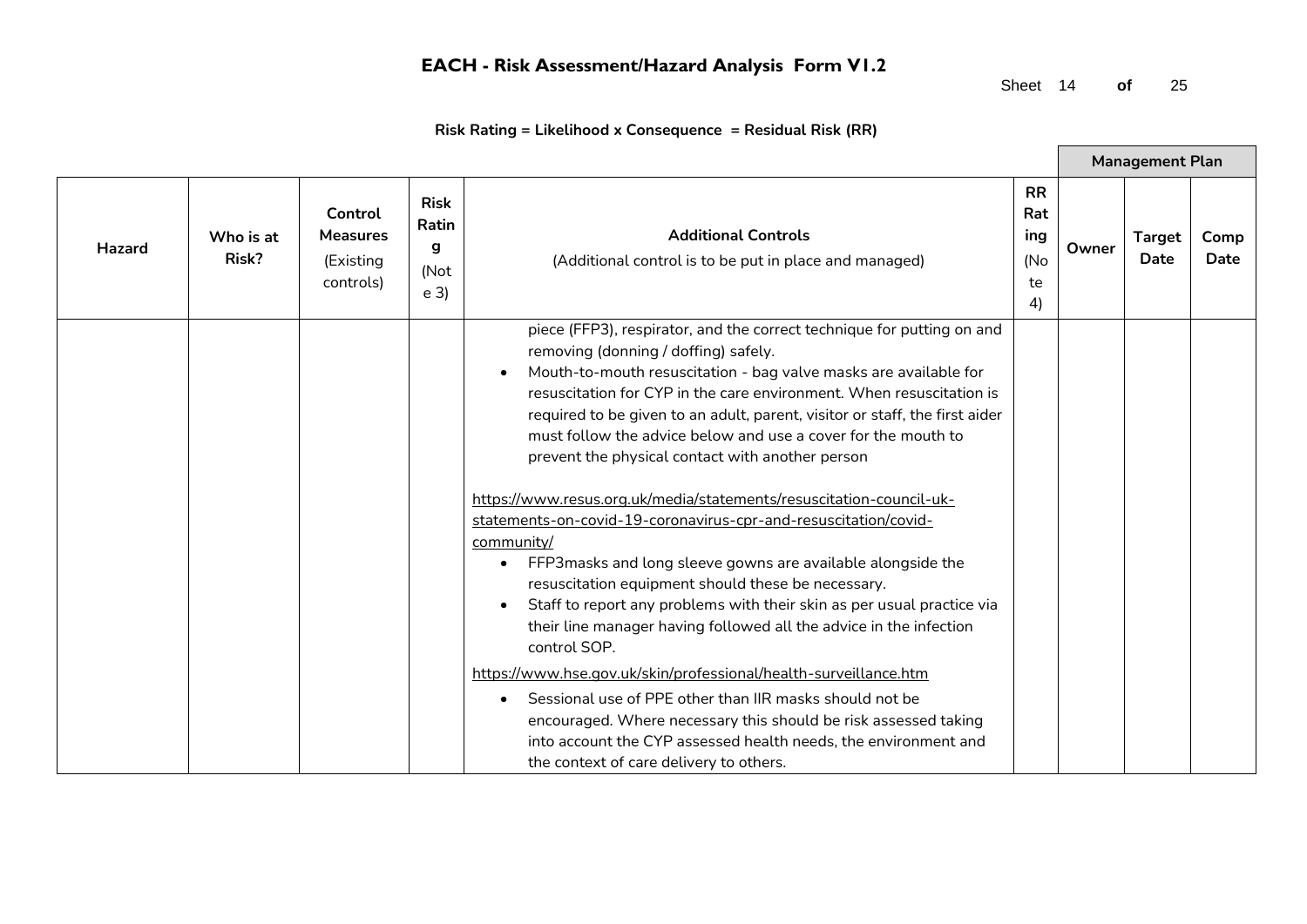Sheet 14 **of** 25

 $\blacksquare$ 

|               |                    |                                                      |                                                     |                                                                                                                                                                                                                                                                                                                                                                                                                                                                                                                                                                                                                                                                                                                                                                                                                                                                                                                                                                                                                                                                                                                                                                                                                                           |                                            |       | <b>Management Plan</b>       |              |
|---------------|--------------------|------------------------------------------------------|-----------------------------------------------------|-------------------------------------------------------------------------------------------------------------------------------------------------------------------------------------------------------------------------------------------------------------------------------------------------------------------------------------------------------------------------------------------------------------------------------------------------------------------------------------------------------------------------------------------------------------------------------------------------------------------------------------------------------------------------------------------------------------------------------------------------------------------------------------------------------------------------------------------------------------------------------------------------------------------------------------------------------------------------------------------------------------------------------------------------------------------------------------------------------------------------------------------------------------------------------------------------------------------------------------------|--------------------------------------------|-------|------------------------------|--------------|
| <b>Hazard</b> | Who is at<br>Risk? | Control<br><b>Measures</b><br>(Existing<br>controls) | <b>Risk</b><br>Ratin<br>g<br>(Not<br>e <sub>3</sub> | <b>Additional Controls</b><br>(Additional control is to be put in place and managed)                                                                                                                                                                                                                                                                                                                                                                                                                                                                                                                                                                                                                                                                                                                                                                                                                                                                                                                                                                                                                                                                                                                                                      | <b>RR</b><br>Rat<br>ing<br>(No<br>te<br>4) | Owner | <b>Target</b><br><b>Date</b> | Comp<br>Date |
|               |                    |                                                      |                                                     | piece (FFP3), respirator, and the correct technique for putting on and<br>removing (donning / doffing) safely.<br>Mouth-to-mouth resuscitation - bag valve masks are available for<br>resuscitation for CYP in the care environment. When resuscitation is<br>required to be given to an adult, parent, visitor or staff, the first aider<br>must follow the advice below and use a cover for the mouth to<br>prevent the physical contact with another person<br>https://www.resus.org.uk/media/statements/resuscitation-council-uk-<br>statements-on-covid-19-coronavirus-cpr-and-resuscitation/covid-<br>community/<br>FFP3 masks and long sleeve gowns are available alongside the<br>resuscitation equipment should these be necessary.<br>Staff to report any problems with their skin as per usual practice via<br>their line manager having followed all the advice in the infection<br>control SOP.<br>https://www.hse.gov.uk/skin/professional/health-surveillance.htm<br>Sessional use of PPE other than IIR masks should not be<br>$\bullet$<br>encouraged. Where necessary this should be risk assessed taking<br>into account the CYP assessed health needs, the environment and<br>the context of care delivery to others. |                                            |       |                              |              |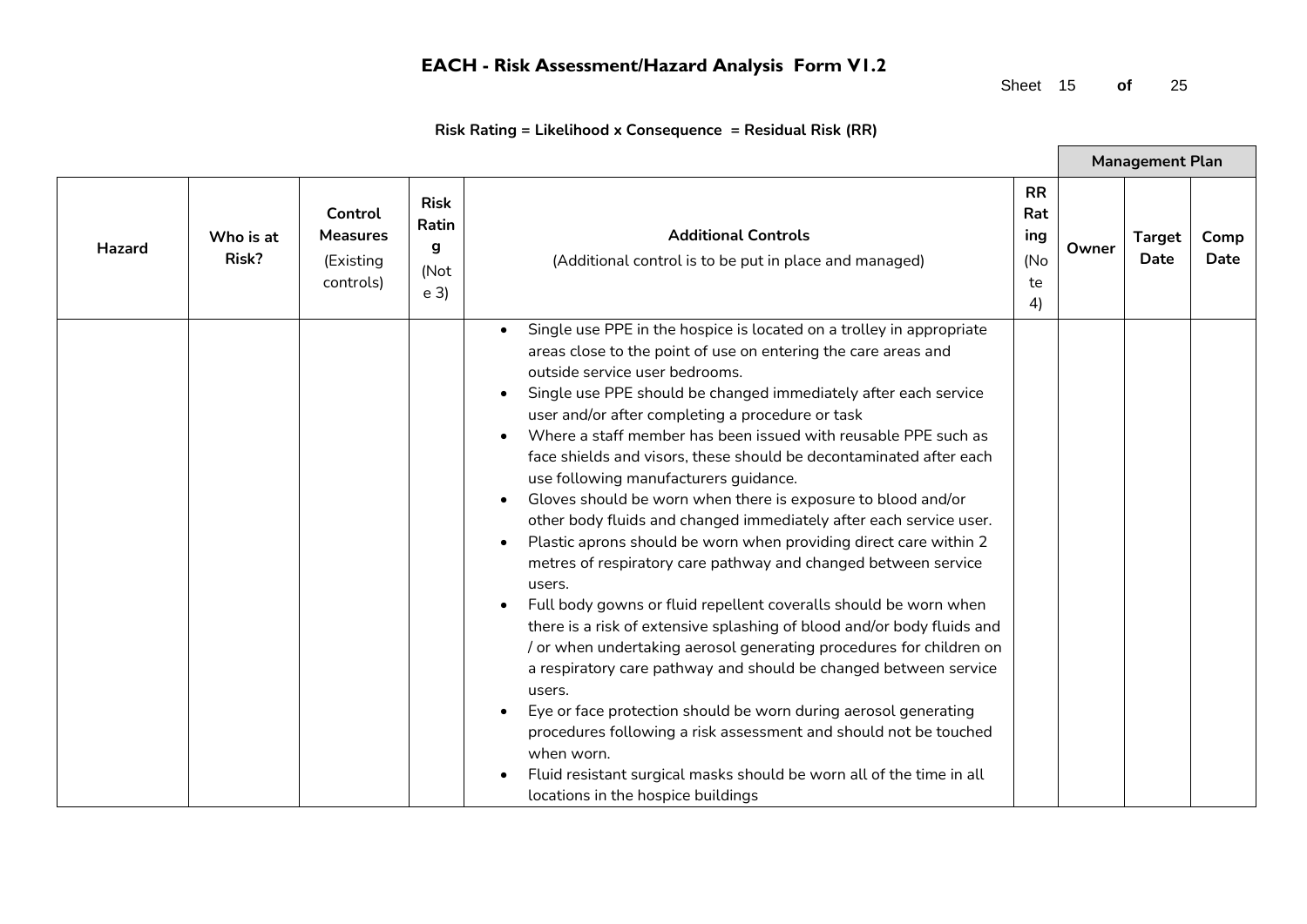Sheet 15 **of** 25

 $\blacksquare$ 

|               |                    |                                                      |                                                     |                                                                                                                                                                                                                                                                                                                                                                                                                                                                                                                                                                                                                                                                                                                                                                                                                                                                                                                                                                                                                                                                                                                                                                                                                                                                                                                                                            |                                            |       | <b>Management Plan</b> |              |
|---------------|--------------------|------------------------------------------------------|-----------------------------------------------------|------------------------------------------------------------------------------------------------------------------------------------------------------------------------------------------------------------------------------------------------------------------------------------------------------------------------------------------------------------------------------------------------------------------------------------------------------------------------------------------------------------------------------------------------------------------------------------------------------------------------------------------------------------------------------------------------------------------------------------------------------------------------------------------------------------------------------------------------------------------------------------------------------------------------------------------------------------------------------------------------------------------------------------------------------------------------------------------------------------------------------------------------------------------------------------------------------------------------------------------------------------------------------------------------------------------------------------------------------------|--------------------------------------------|-------|------------------------|--------------|
| <b>Hazard</b> | Who is at<br>Risk? | Control<br><b>Measures</b><br>(Existing<br>controls) | <b>Risk</b><br>Ratin<br>g<br>(Not<br>e <sub>3</sub> | <b>Additional Controls</b><br>(Additional control is to be put in place and managed)                                                                                                                                                                                                                                                                                                                                                                                                                                                                                                                                                                                                                                                                                                                                                                                                                                                                                                                                                                                                                                                                                                                                                                                                                                                                       | <b>RR</b><br>Rat<br>ing<br>(No<br>te<br>4) | Owner | <b>Target</b><br>Date  | Comp<br>Date |
|               |                    |                                                      |                                                     | Single use PPE in the hospice is located on a trolley in appropriate<br>areas close to the point of use on entering the care areas and<br>outside service user bedrooms.<br>Single use PPE should be changed immediately after each service<br>user and/or after completing a procedure or task<br>Where a staff member has been issued with reusable PPE such as<br>face shields and visors, these should be decontaminated after each<br>use following manufacturers guidance.<br>Gloves should be worn when there is exposure to blood and/or<br>other body fluids and changed immediately after each service user.<br>Plastic aprons should be worn when providing direct care within 2<br>$\bullet$<br>metres of respiratory care pathway and changed between service<br>users.<br>Full body gowns or fluid repellent coveralls should be worn when<br>there is a risk of extensive splashing of blood and/or body fluids and<br>/ or when undertaking aerosol generating procedures for children on<br>a respiratory care pathway and should be changed between service<br>users.<br>Eye or face protection should be worn during aerosol generating<br>procedures following a risk assessment and should not be touched<br>when worn.<br>Fluid resistant surgical masks should be worn all of the time in all<br>locations in the hospice buildings |                                            |       |                        |              |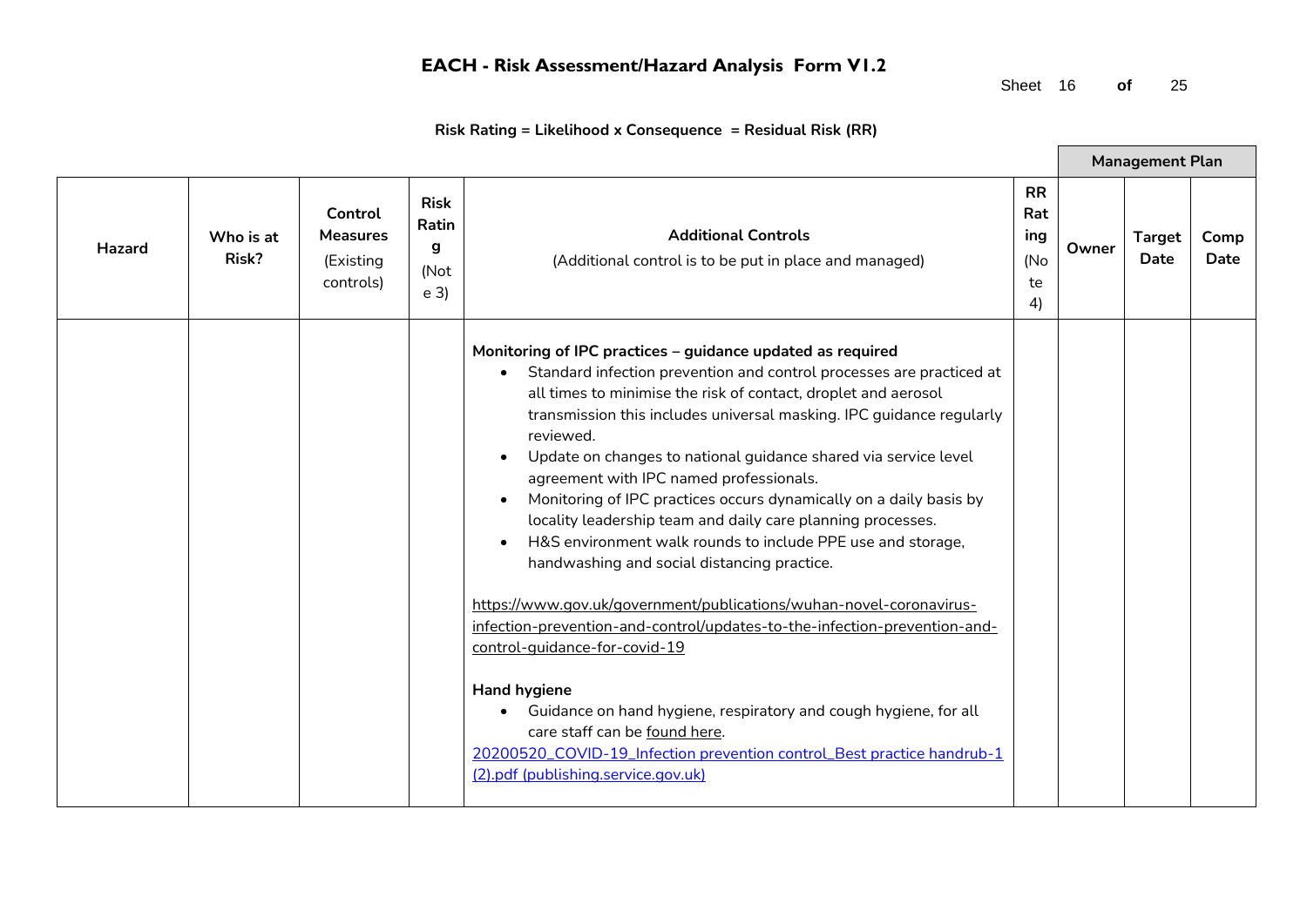Sheet 16 **of** 25

 $\blacksquare$ 

|        |                    |                                                      |                                                     |                                                                                                                                                                                                                                                                                                                                                                                                                                                                                                                                                                                                                                                                                                                                                                                                                                                                                                                                                                                                                                                                                                           |                                            |       | <b>Management Plan</b> |              |
|--------|--------------------|------------------------------------------------------|-----------------------------------------------------|-----------------------------------------------------------------------------------------------------------------------------------------------------------------------------------------------------------------------------------------------------------------------------------------------------------------------------------------------------------------------------------------------------------------------------------------------------------------------------------------------------------------------------------------------------------------------------------------------------------------------------------------------------------------------------------------------------------------------------------------------------------------------------------------------------------------------------------------------------------------------------------------------------------------------------------------------------------------------------------------------------------------------------------------------------------------------------------------------------------|--------------------------------------------|-------|------------------------|--------------|
| Hazard | Who is at<br>Risk? | Control<br><b>Measures</b><br>(Existing<br>controls) | <b>Risk</b><br>Ratin<br>g<br>(Not<br>e <sub>3</sub> | <b>Additional Controls</b><br>(Additional control is to be put in place and managed)                                                                                                                                                                                                                                                                                                                                                                                                                                                                                                                                                                                                                                                                                                                                                                                                                                                                                                                                                                                                                      | <b>RR</b><br>Rat<br>ing<br>(No<br>te<br>4) | Owner | <b>Target</b><br>Date  | Comp<br>Date |
|        |                    |                                                      |                                                     | Monitoring of IPC practices - guidance updated as required<br>Standard infection prevention and control processes are practiced at<br>all times to minimise the risk of contact, droplet and aerosol<br>transmission this includes universal masking. IPC guidance regularly<br>reviewed.<br>Update on changes to national guidance shared via service level<br>agreement with IPC named professionals.<br>Monitoring of IPC practices occurs dynamically on a daily basis by<br>locality leadership team and daily care planning processes.<br>H&S environment walk rounds to include PPE use and storage,<br>handwashing and social distancing practice.<br>https://www.gov.uk/government/publications/wuhan-novel-coronavirus-<br>infection-prevention-and-control/updates-to-the-infection-prevention-and-<br>control-quidance-for-covid-19<br><b>Hand hygiene</b><br>Guidance on hand hygiene, respiratory and cough hygiene, for all<br>$\bullet$<br>care staff can be found here.<br>20200520_COVID-19_Infection prevention control_Best practice handrub-1<br>(2).pdf (publishing.service.gov.uk) |                                            |       |                        |              |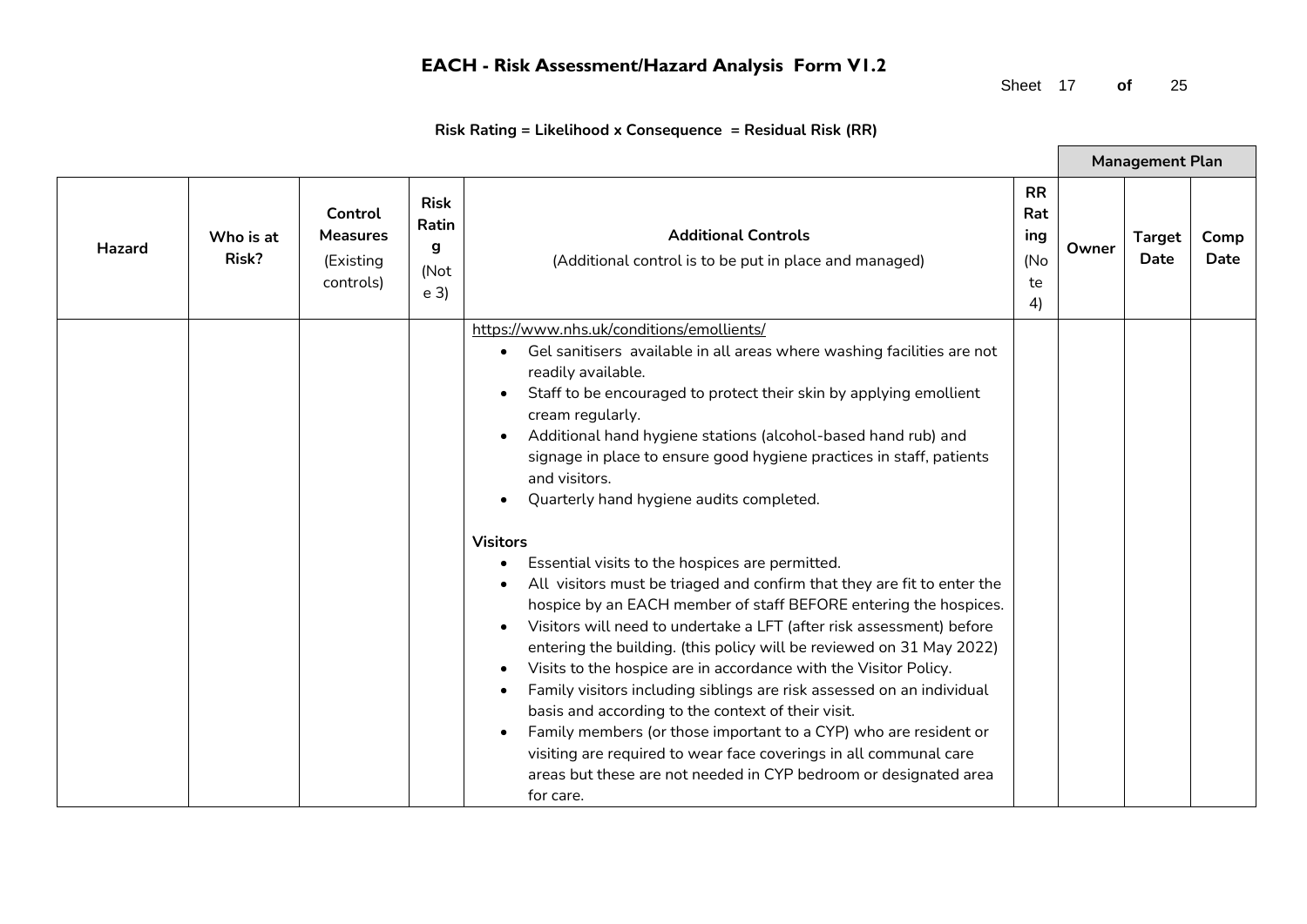Sheet 17 **of** 25

 $\blacksquare$ 

|        |                    |                                                      |                                                     |                                                                                                                                                                                                                                                                                                                                                                                                                                                                                                                                                                                                                                                                                                                                                                                                                                                                                                                                                                                                                                                                                                                                                                                                                                                          |                                            |       | <b>Management Plan</b>       |              |
|--------|--------------------|------------------------------------------------------|-----------------------------------------------------|----------------------------------------------------------------------------------------------------------------------------------------------------------------------------------------------------------------------------------------------------------------------------------------------------------------------------------------------------------------------------------------------------------------------------------------------------------------------------------------------------------------------------------------------------------------------------------------------------------------------------------------------------------------------------------------------------------------------------------------------------------------------------------------------------------------------------------------------------------------------------------------------------------------------------------------------------------------------------------------------------------------------------------------------------------------------------------------------------------------------------------------------------------------------------------------------------------------------------------------------------------|--------------------------------------------|-------|------------------------------|--------------|
| Hazard | Who is at<br>Risk? | Control<br><b>Measures</b><br>(Existing<br>controls) | <b>Risk</b><br>Ratin<br>g<br>(Not<br>e <sub>3</sub> | <b>Additional Controls</b><br>(Additional control is to be put in place and managed)                                                                                                                                                                                                                                                                                                                                                                                                                                                                                                                                                                                                                                                                                                                                                                                                                                                                                                                                                                                                                                                                                                                                                                     | <b>RR</b><br>Rat<br>ing<br>(No<br>te<br>4) | Owner | <b>Target</b><br><b>Date</b> | Comp<br>Date |
|        |                    |                                                      |                                                     | https://www.nhs.uk/conditions/emollients/<br>Gel sanitisers available in all areas where washing facilities are not<br>$\bullet$<br>readily available.<br>Staff to be encouraged to protect their skin by applying emollient<br>cream regularly.<br>Additional hand hygiene stations (alcohol-based hand rub) and<br>signage in place to ensure good hygiene practices in staff, patients<br>and visitors.<br>Quarterly hand hygiene audits completed.<br><b>Visitors</b><br>Essential visits to the hospices are permitted.<br>All visitors must be triaged and confirm that they are fit to enter the<br>hospice by an EACH member of staff BEFORE entering the hospices.<br>Visitors will need to undertake a LFT (after risk assessment) before<br>entering the building. (this policy will be reviewed on 31 May 2022)<br>Visits to the hospice are in accordance with the Visitor Policy.<br>Family visitors including siblings are risk assessed on an individual<br>basis and according to the context of their visit.<br>Family members (or those important to a CYP) who are resident or<br>visiting are required to wear face coverings in all communal care<br>areas but these are not needed in CYP bedroom or designated area<br>for care. |                                            |       |                              |              |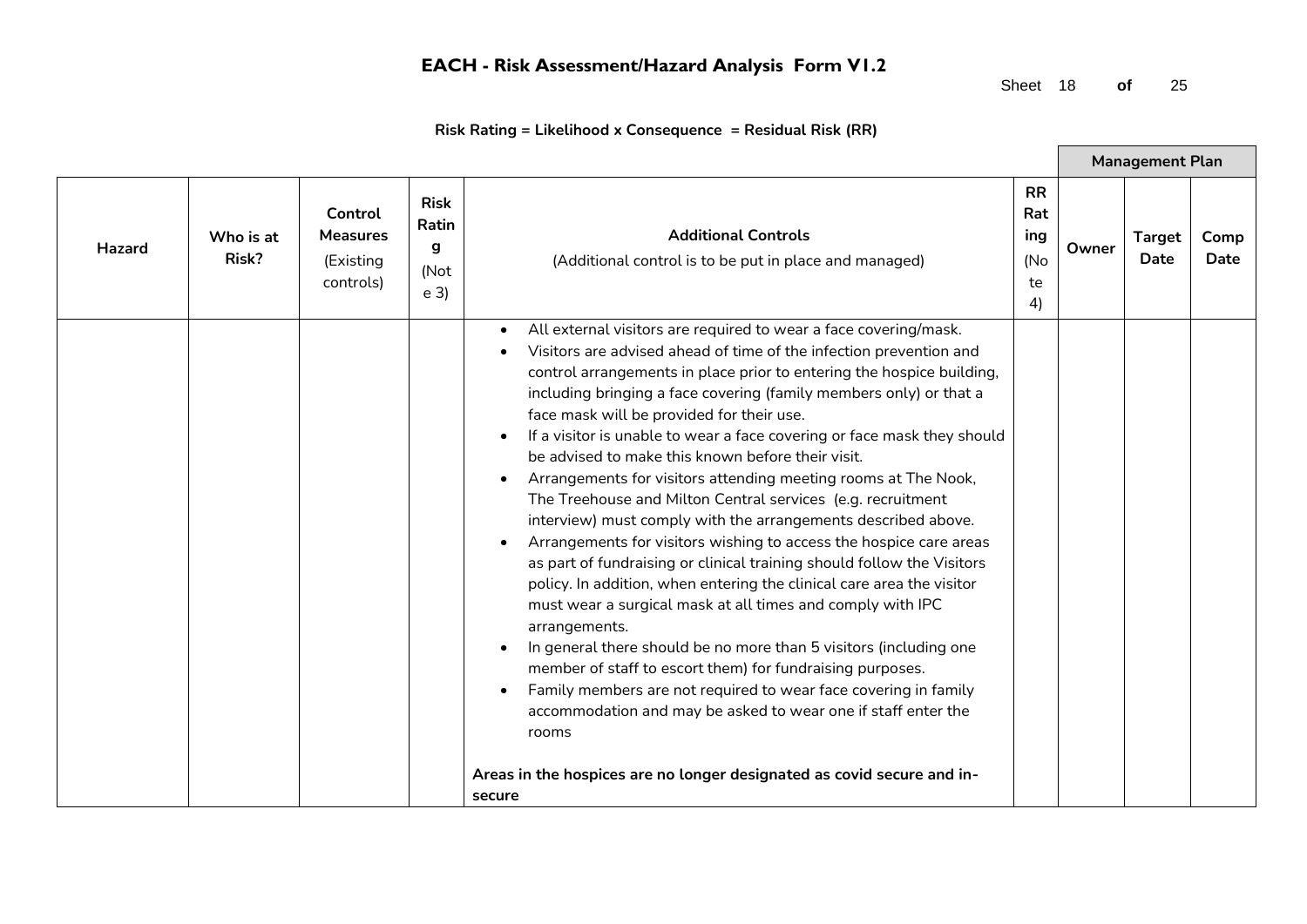Sheet 18 **of** 25

 $\blacksquare$ 

| <b>Risk</b><br>Control<br>Ratin<br><b>Additional Controls</b><br><b>Measures</b><br>Who is at<br><b>Hazard</b><br>g<br>Risk?                                                                                                                                                                                                                                                                                                                                                                                                                                                                                                                                                                                                                                                                                                                                                                                                                                                                                                                                                                                                                                                                                                                                                                                                                    | <b>RR</b><br>Rat<br>ing<br>(No<br>te | Owner | <b>Target</b><br>Date | Comp |
|-------------------------------------------------------------------------------------------------------------------------------------------------------------------------------------------------------------------------------------------------------------------------------------------------------------------------------------------------------------------------------------------------------------------------------------------------------------------------------------------------------------------------------------------------------------------------------------------------------------------------------------------------------------------------------------------------------------------------------------------------------------------------------------------------------------------------------------------------------------------------------------------------------------------------------------------------------------------------------------------------------------------------------------------------------------------------------------------------------------------------------------------------------------------------------------------------------------------------------------------------------------------------------------------------------------------------------------------------|--------------------------------------|-------|-----------------------|------|
| (Existing<br>(Additional control is to be put in place and managed)<br>(Not<br>controls)<br>e <sub>3</sub>                                                                                                                                                                                                                                                                                                                                                                                                                                                                                                                                                                                                                                                                                                                                                                                                                                                                                                                                                                                                                                                                                                                                                                                                                                      | 4)                                   |       |                       | Date |
| All external visitors are required to wear a face covering/mask.<br>Visitors are advised ahead of time of the infection prevention and<br>control arrangements in place prior to entering the hospice building,<br>including bringing a face covering (family members only) or that a<br>face mask will be provided for their use.<br>If a visitor is unable to wear a face covering or face mask they should<br>be advised to make this known before their visit.<br>Arrangements for visitors attending meeting rooms at The Nook,<br>The Treehouse and Milton Central services (e.g. recruitment<br>interview) must comply with the arrangements described above.<br>Arrangements for visitors wishing to access the hospice care areas<br>as part of fundraising or clinical training should follow the Visitors<br>policy. In addition, when entering the clinical care area the visitor<br>must wear a surgical mask at all times and comply with IPC<br>arrangements.<br>In general there should be no more than 5 visitors (including one<br>member of staff to escort them) for fundraising purposes.<br>Family members are not required to wear face covering in family<br>accommodation and may be asked to wear one if staff enter the<br>rooms<br>Areas in the hospices are no longer designated as covid secure and in-<br>secure |                                      |       |                       |      |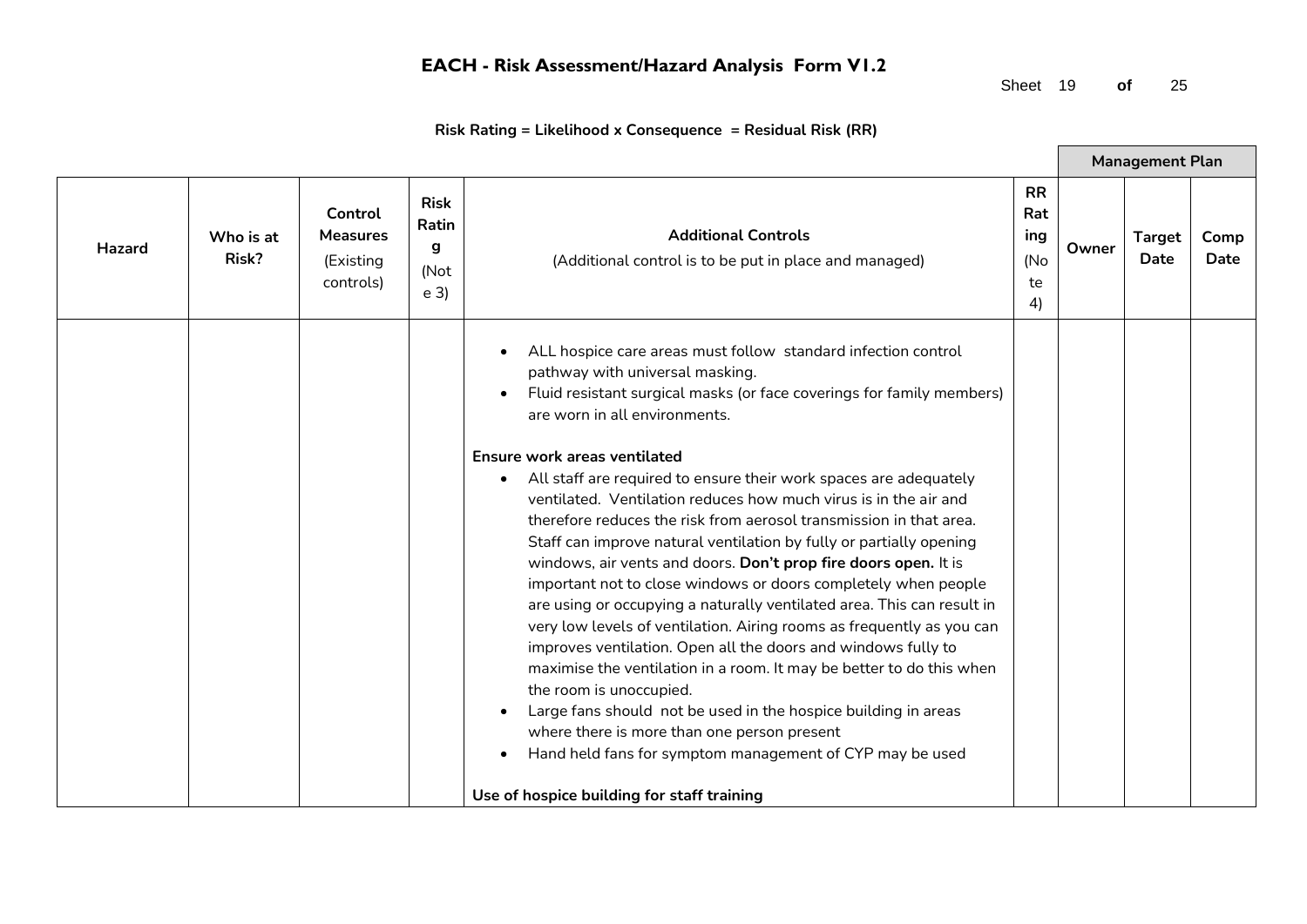Sheet 19 **of** 25

 $\blacksquare$ 

|               |                    |                                                      |                                                     |                                                                                                                                                                                                                                                                                                                                                                                                                                                                                                                                                                                                                                                                                                                                                                                                                                                                                                                                                                                                                                                                                                                                                                                                                         |                                            |       | <b>Management Plan</b> |              |
|---------------|--------------------|------------------------------------------------------|-----------------------------------------------------|-------------------------------------------------------------------------------------------------------------------------------------------------------------------------------------------------------------------------------------------------------------------------------------------------------------------------------------------------------------------------------------------------------------------------------------------------------------------------------------------------------------------------------------------------------------------------------------------------------------------------------------------------------------------------------------------------------------------------------------------------------------------------------------------------------------------------------------------------------------------------------------------------------------------------------------------------------------------------------------------------------------------------------------------------------------------------------------------------------------------------------------------------------------------------------------------------------------------------|--------------------------------------------|-------|------------------------|--------------|
| <b>Hazard</b> | Who is at<br>Risk? | Control<br><b>Measures</b><br>(Existing<br>controls) | <b>Risk</b><br>Ratin<br>g<br>(Not<br>e <sub>3</sub> | <b>Additional Controls</b><br>(Additional control is to be put in place and managed)                                                                                                                                                                                                                                                                                                                                                                                                                                                                                                                                                                                                                                                                                                                                                                                                                                                                                                                                                                                                                                                                                                                                    | <b>RR</b><br>Rat<br>ing<br>(No<br>te<br>4) | Owner | <b>Target</b><br>Date  | Comp<br>Date |
|               |                    |                                                      |                                                     | ALL hospice care areas must follow standard infection control<br>pathway with universal masking.<br>Fluid resistant surgical masks (or face coverings for family members)<br>are worn in all environments.<br>Ensure work areas ventilated<br>All staff are required to ensure their work spaces are adequately<br>ventilated. Ventilation reduces how much virus is in the air and<br>therefore reduces the risk from aerosol transmission in that area.<br>Staff can improve natural ventilation by fully or partially opening<br>windows, air vents and doors. Don't prop fire doors open. It is<br>important not to close windows or doors completely when people<br>are using or occupying a naturally ventilated area. This can result in<br>very low levels of ventilation. Airing rooms as frequently as you can<br>improves ventilation. Open all the doors and windows fully to<br>maximise the ventilation in a room. It may be better to do this when<br>the room is unoccupied.<br>Large fans should not be used in the hospice building in areas<br>where there is more than one person present<br>Hand held fans for symptom management of CYP may be used<br>Use of hospice building for staff training |                                            |       |                        |              |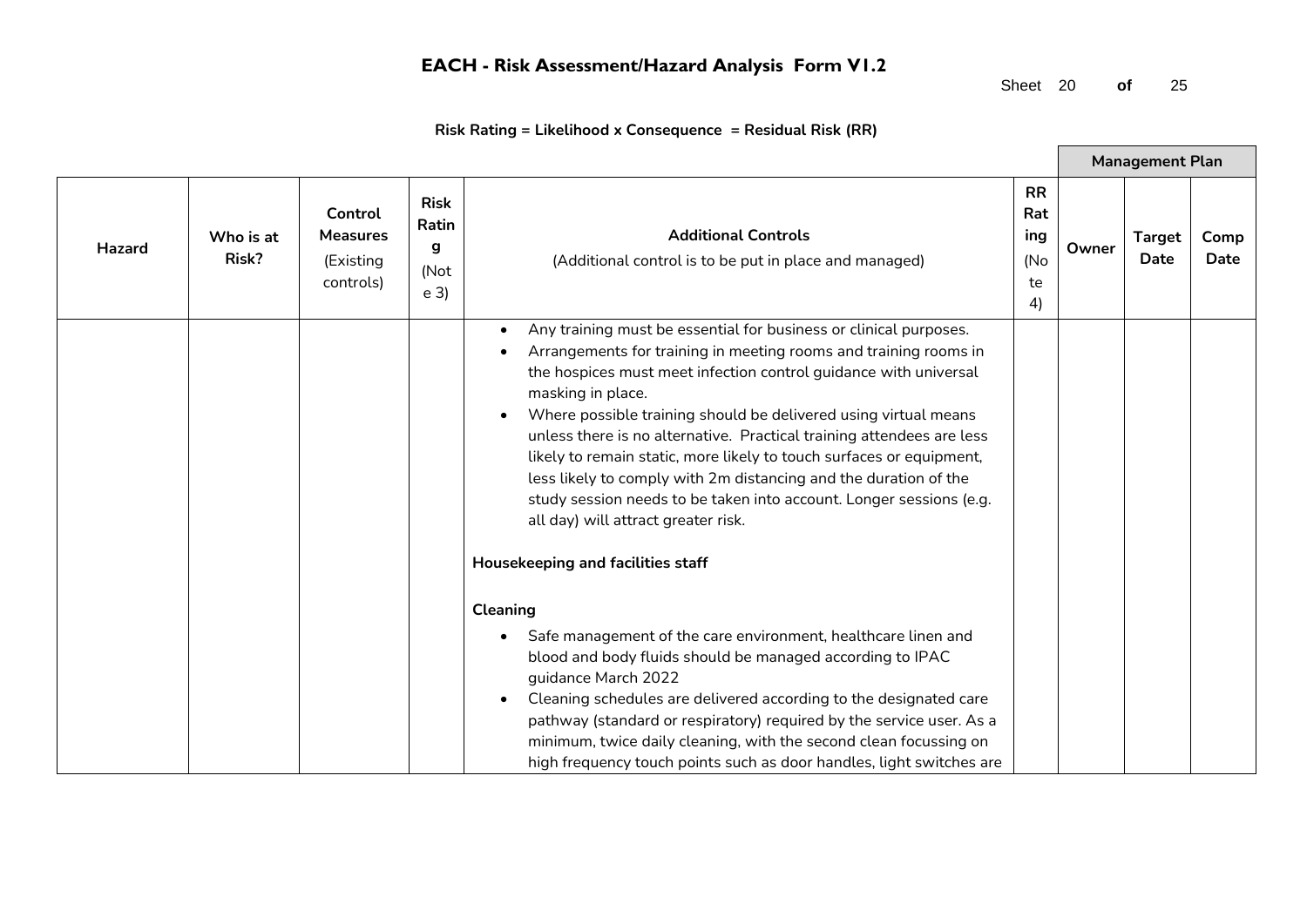Sheet 20 **of** 25

 $\blacksquare$ 

| Risk Rating = Likelihood x Consequence  = Residual Risk (RR) |  |  |
|--------------------------------------------------------------|--|--|
|--------------------------------------------------------------|--|--|

|               |                    |                                                      |                                                     |                                                                                                                                                                                                                                                                                                                                                                                                                                                                                                                                                                                                                                                                                                                                                                                                                                                                                                                                                                                                                                                                                                                                                          |                                            |       | <b>Management Plan</b> |              |
|---------------|--------------------|------------------------------------------------------|-----------------------------------------------------|----------------------------------------------------------------------------------------------------------------------------------------------------------------------------------------------------------------------------------------------------------------------------------------------------------------------------------------------------------------------------------------------------------------------------------------------------------------------------------------------------------------------------------------------------------------------------------------------------------------------------------------------------------------------------------------------------------------------------------------------------------------------------------------------------------------------------------------------------------------------------------------------------------------------------------------------------------------------------------------------------------------------------------------------------------------------------------------------------------------------------------------------------------|--------------------------------------------|-------|------------------------|--------------|
| <b>Hazard</b> | Who is at<br>Risk? | Control<br><b>Measures</b><br>(Existing<br>controls) | <b>Risk</b><br>Ratin<br>g<br>(Not<br>e <sub>3</sub> | <b>Additional Controls</b><br>(Additional control is to be put in place and managed)                                                                                                                                                                                                                                                                                                                                                                                                                                                                                                                                                                                                                                                                                                                                                                                                                                                                                                                                                                                                                                                                     | <b>RR</b><br>Rat<br>ing<br>(No<br>te<br>4) | Owner | <b>Target</b><br>Date  | Comp<br>Date |
|               |                    |                                                      |                                                     | Any training must be essential for business or clinical purposes.<br>Arrangements for training in meeting rooms and training rooms in<br>the hospices must meet infection control guidance with universal<br>masking in place.<br>Where possible training should be delivered using virtual means<br>unless there is no alternative. Practical training attendees are less<br>likely to remain static, more likely to touch surfaces or equipment,<br>less likely to comply with 2m distancing and the duration of the<br>study session needs to be taken into account. Longer sessions (e.g.<br>all day) will attract greater risk.<br>Housekeeping and facilities staff<br><b>Cleaning</b><br>Safe management of the care environment, healthcare linen and<br>$\bullet$<br>blood and body fluids should be managed according to IPAC<br>guidance March 2022<br>Cleaning schedules are delivered according to the designated care<br>pathway (standard or respiratory) required by the service user. As a<br>minimum, twice daily cleaning, with the second clean focussing on<br>high frequency touch points such as door handles, light switches are |                                            |       |                        |              |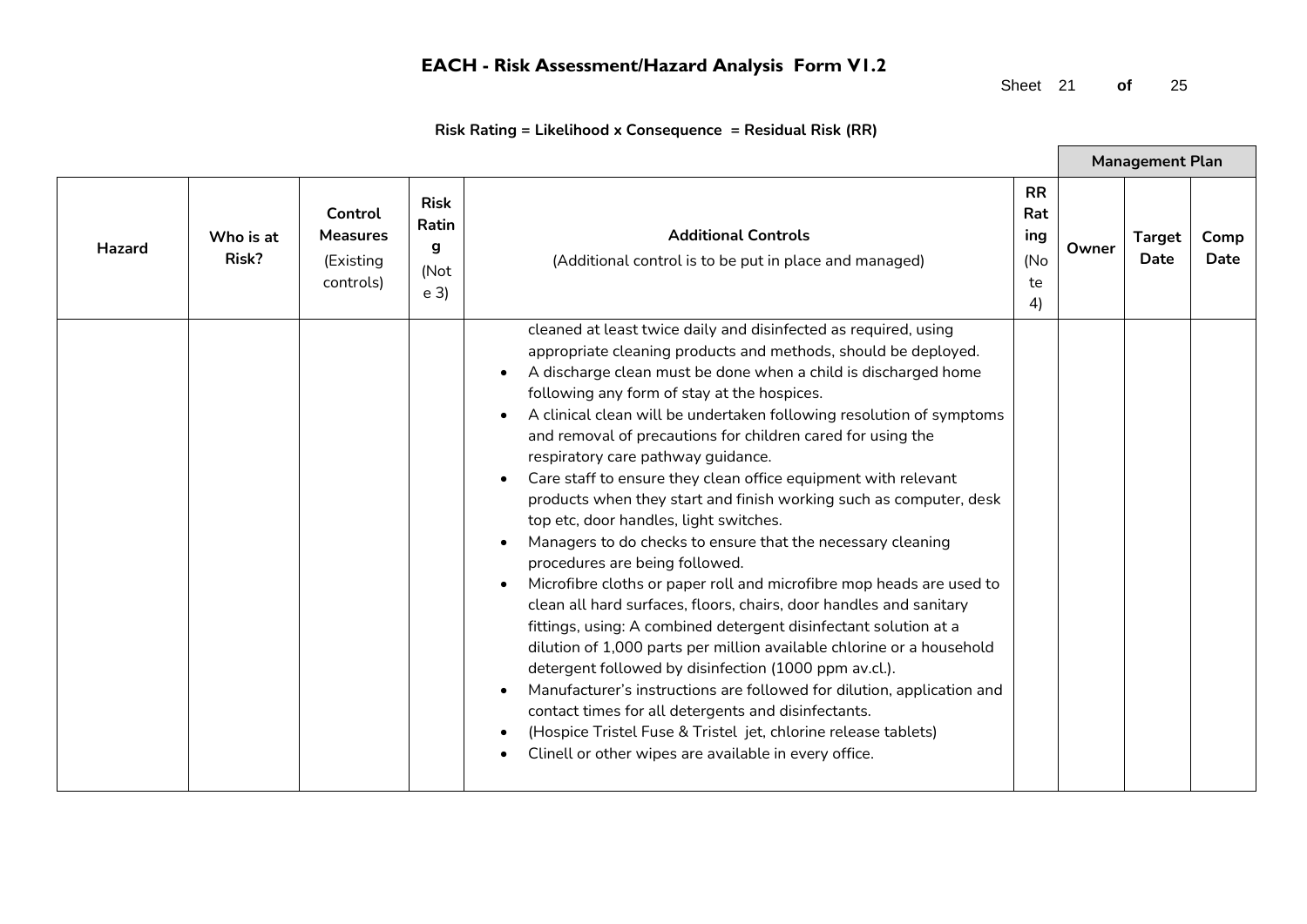Sheet 21 **of** 25

 $\blacksquare$ 

|        |                    |                                                      |                                                            |                                                                                                                                                                                                                                                                                                                                                                                                                                                                                                                                                                                                                                                                                                                                                                                                                                                                                                                                                                                                                                                                                                                                                                                                                                                                                                                                    |                                            |       | <b>Management Plan</b>       |              |
|--------|--------------------|------------------------------------------------------|------------------------------------------------------------|------------------------------------------------------------------------------------------------------------------------------------------------------------------------------------------------------------------------------------------------------------------------------------------------------------------------------------------------------------------------------------------------------------------------------------------------------------------------------------------------------------------------------------------------------------------------------------------------------------------------------------------------------------------------------------------------------------------------------------------------------------------------------------------------------------------------------------------------------------------------------------------------------------------------------------------------------------------------------------------------------------------------------------------------------------------------------------------------------------------------------------------------------------------------------------------------------------------------------------------------------------------------------------------------------------------------------------|--------------------------------------------|-------|------------------------------|--------------|
| Hazard | Who is at<br>Risk? | Control<br><b>Measures</b><br>(Existing<br>controls) | <b>Risk</b><br><b>Ratin</b><br>q<br>(Not<br>e <sub>3</sub> | <b>Additional Controls</b><br>(Additional control is to be put in place and managed)                                                                                                                                                                                                                                                                                                                                                                                                                                                                                                                                                                                                                                                                                                                                                                                                                                                                                                                                                                                                                                                                                                                                                                                                                                               | <b>RR</b><br>Rat<br>ing<br>(No<br>te<br>4) | Owner | <b>Target</b><br><b>Date</b> | Comp<br>Date |
|        |                    |                                                      |                                                            | cleaned at least twice daily and disinfected as required, using<br>appropriate cleaning products and methods, should be deployed.<br>A discharge clean must be done when a child is discharged home<br>following any form of stay at the hospices.<br>A clinical clean will be undertaken following resolution of symptoms<br>and removal of precautions for children cared for using the<br>respiratory care pathway guidance.<br>Care staff to ensure they clean office equipment with relevant<br>products when they start and finish working such as computer, desk<br>top etc, door handles, light switches.<br>Managers to do checks to ensure that the necessary cleaning<br>procedures are being followed.<br>Microfibre cloths or paper roll and microfibre mop heads are used to<br>clean all hard surfaces, floors, chairs, door handles and sanitary<br>fittings, using: A combined detergent disinfectant solution at a<br>dilution of 1,000 parts per million available chlorine or a household<br>detergent followed by disinfection (1000 ppm av.cl.).<br>Manufacturer's instructions are followed for dilution, application and<br>contact times for all detergents and disinfectants.<br>(Hospice Tristel Fuse & Tristel jet, chlorine release tablets)<br>Clinell or other wipes are available in every office. |                                            |       |                              |              |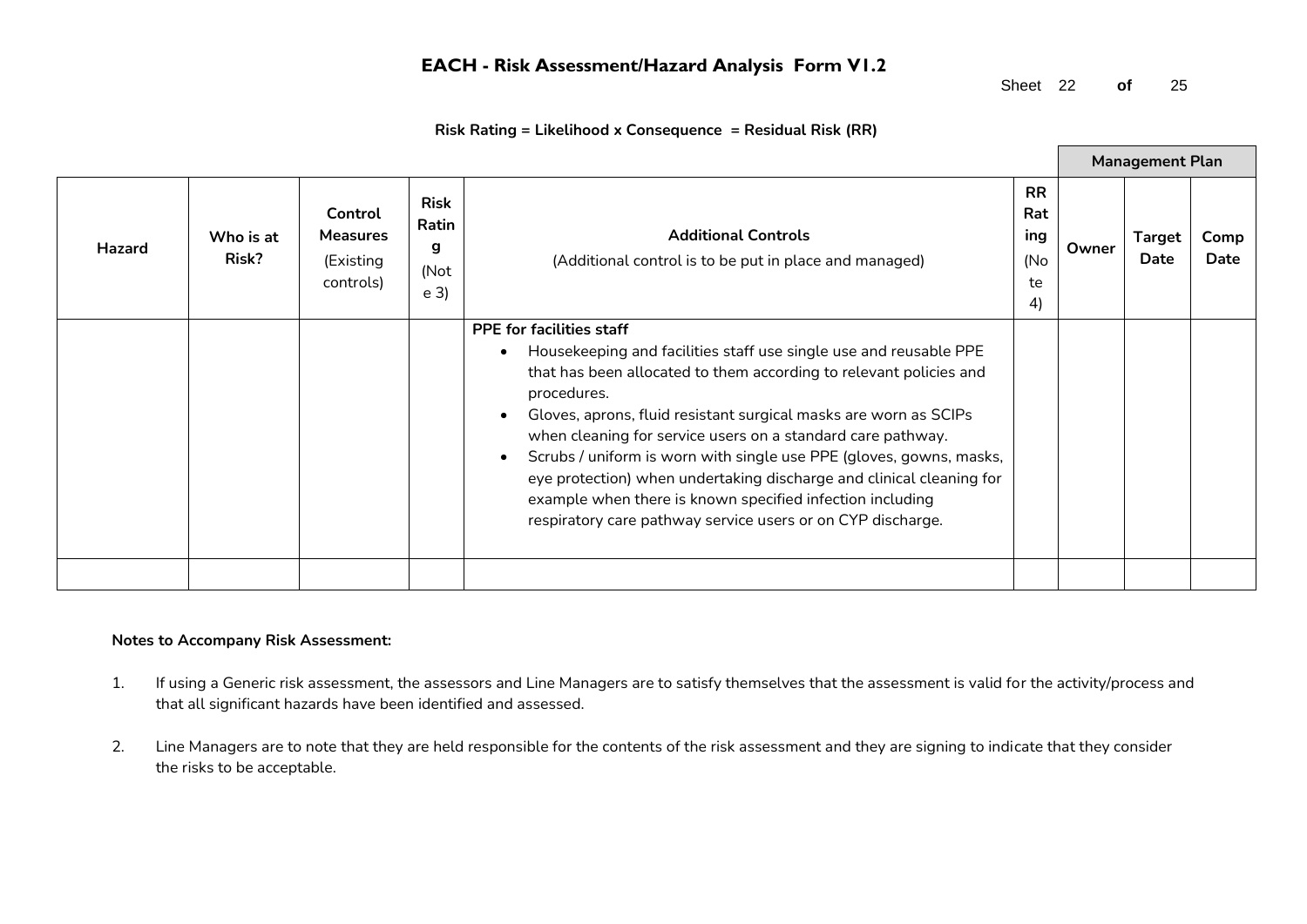Sheet 22 **of** 25

|               |                    |                                                      |                                                     |                                                                                                                                                                                                                                                                                                                                                                                                                                                                                                                                                                                                                                                |                                            |       | <b>Management Plan</b> |              |
|---------------|--------------------|------------------------------------------------------|-----------------------------------------------------|------------------------------------------------------------------------------------------------------------------------------------------------------------------------------------------------------------------------------------------------------------------------------------------------------------------------------------------------------------------------------------------------------------------------------------------------------------------------------------------------------------------------------------------------------------------------------------------------------------------------------------------------|--------------------------------------------|-------|------------------------|--------------|
| <b>Hazard</b> | Who is at<br>Risk? | Control<br><b>Measures</b><br>(Existing<br>controls) | <b>Risk</b><br>Ratin<br>g<br>(Not<br>e <sub>3</sub> | <b>Additional Controls</b><br>(Additional control is to be put in place and managed)                                                                                                                                                                                                                                                                                                                                                                                                                                                                                                                                                           | <b>RR</b><br>Rat<br>ing<br>(No<br>te<br>4) | Owner | <b>Target</b><br>Date  | Comp<br>Date |
|               |                    |                                                      |                                                     | <b>PPE for facilities staff</b><br>Housekeeping and facilities staff use single use and reusable PPE<br>$\bullet$<br>that has been allocated to them according to relevant policies and<br>procedures.<br>Gloves, aprons, fluid resistant surgical masks are worn as SCIPs<br>$\bullet$<br>when cleaning for service users on a standard care pathway.<br>Scrubs / uniform is worn with single use PPE (gloves, gowns, masks,<br>$\bullet$<br>eye protection) when undertaking discharge and clinical cleaning for<br>example when there is known specified infection including<br>respiratory care pathway service users or on CYP discharge. |                                            |       |                        |              |
|               |                    |                                                      |                                                     |                                                                                                                                                                                                                                                                                                                                                                                                                                                                                                                                                                                                                                                |                                            |       |                        |              |

#### **Risk Rating = Likelihood x Consequence = Residual Risk (RR)**

#### **Notes to Accompany Risk Assessment:**

- 1. If using a Generic risk assessment, the assessors and Line Managers are to satisfy themselves that the assessment is valid for the activity/process and that all significant hazards have been identified and assessed.
- 2. Line Managers are to note that they are held responsible for the contents of the risk assessment and they are signing to indicate that they consider the risks to be acceptable.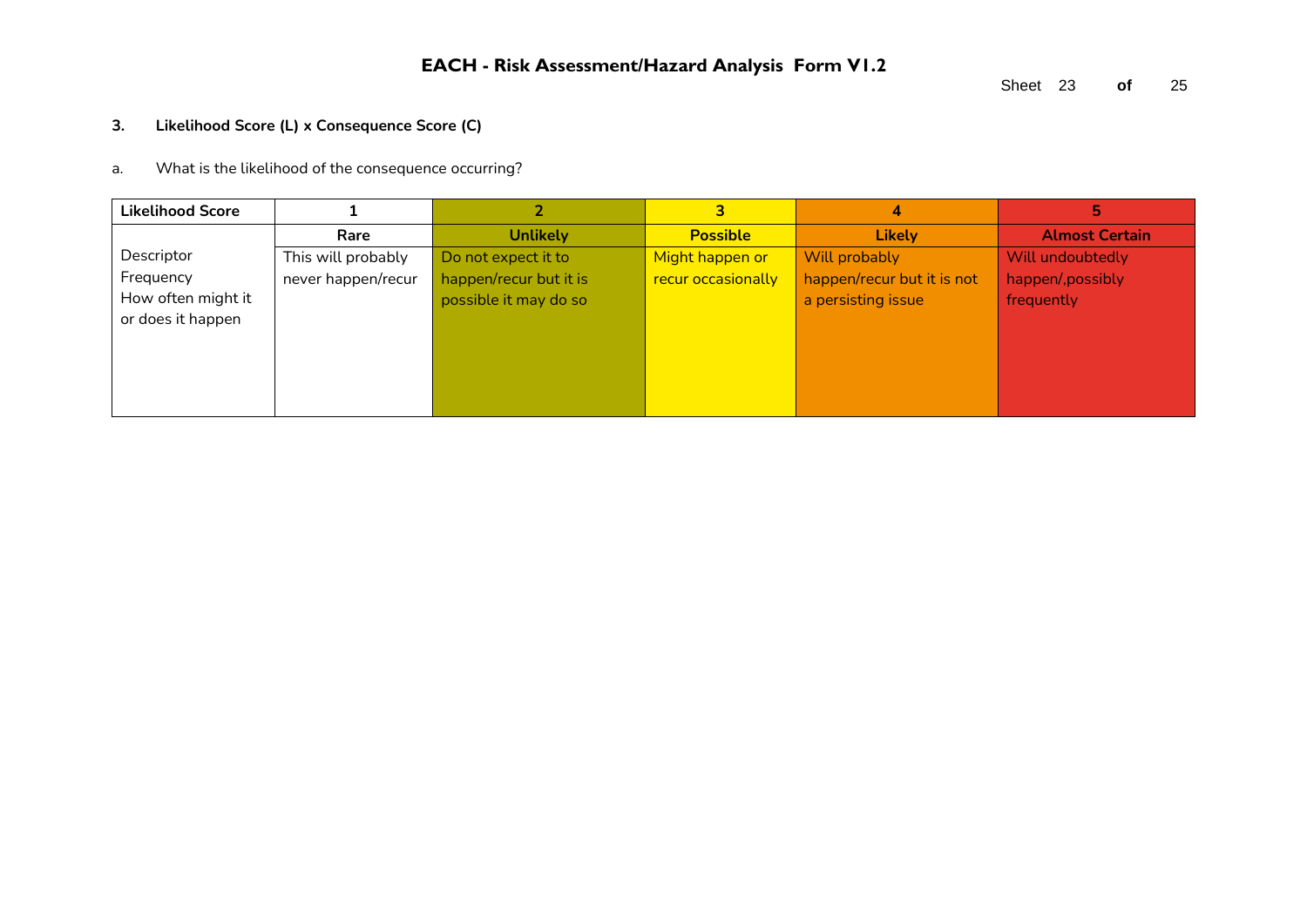#### **3. Likelihood Score (L) x Consequence Score (C)**

a. What is the likelihood of the consequence occurring?

| <b>Likelihood Score</b> |                    |                        | 3                  |                            | 5                     |
|-------------------------|--------------------|------------------------|--------------------|----------------------------|-----------------------|
|                         | Rare               | <b>Unlikely</b>        | <b>Possible</b>    | <b>Likely</b>              | <b>Almost Certain</b> |
| Descriptor              | This will probably | Do not expect it to    | Might happen or    | Will probably              | Will undoubtedly      |
| Frequency               | never happen/recur | happen/recur but it is | recur occasionally | happen/recur but it is not | happen/, possibly     |
| How often might it      |                    | possible it may do so  |                    | a persisting issue         | frequently            |
| or does it happen       |                    |                        |                    |                            |                       |
|                         |                    |                        |                    |                            |                       |
|                         |                    |                        |                    |                            |                       |
|                         |                    |                        |                    |                            |                       |
|                         |                    |                        |                    |                            |                       |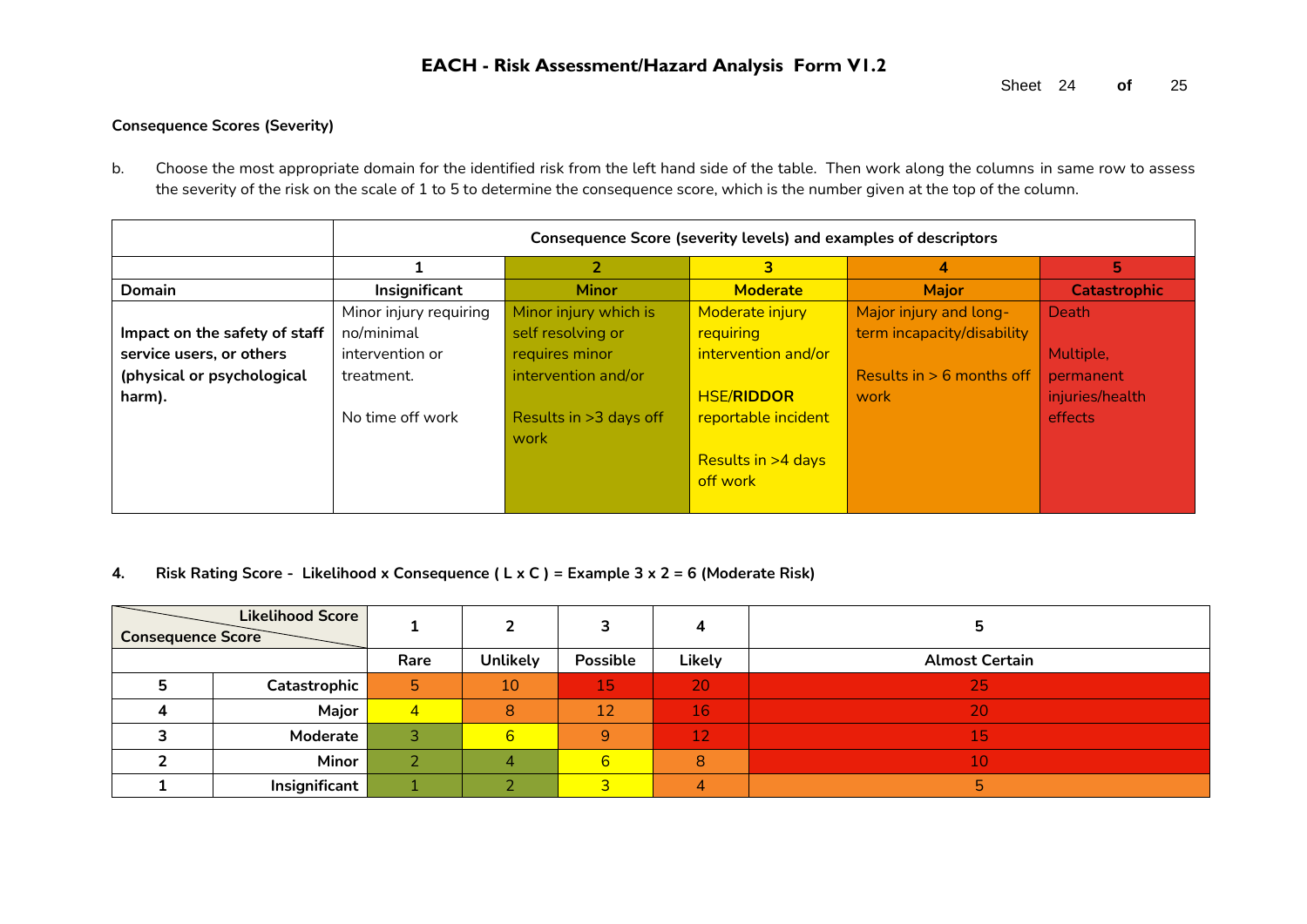#### **Consequence Scores (Severity)**

b. Choose the most appropriate domain for the identified risk from the left hand side of the table. Then work along the columns in same row to assess the severity of the risk on the scale of 1 to 5 to determine the consequence score, which is the number given at the top of the column.

|                               |                        | Consequence Score (severity levels) and examples of descriptors |                      |                             |                     |  |  |  |  |
|-------------------------------|------------------------|-----------------------------------------------------------------|----------------------|-----------------------------|---------------------|--|--|--|--|
|                               |                        |                                                                 | 3                    | 4                           | 5.                  |  |  |  |  |
| <b>Domain</b>                 | Insignificant          | <b>Minor</b>                                                    | <b>Moderate</b>      | <b>Major</b>                | <b>Catastrophic</b> |  |  |  |  |
|                               | Minor injury requiring | Minor injury which is                                           | Moderate injury      | Major injury and long-      | Death               |  |  |  |  |
| Impact on the safety of staff | no/minimal             | self resolving or                                               | requiring            | term incapacity/disability  |                     |  |  |  |  |
| service users, or others      | intervention or        | requires minor                                                  | intervention and/or  |                             | Multiple,           |  |  |  |  |
| (physical or psychological    | treatment.             | intervention and/or                                             |                      | Results in $> 6$ months off | permanent           |  |  |  |  |
| harm).                        |                        |                                                                 | <b>HSE/RIDDOR</b>    | work                        | injuries/health     |  |  |  |  |
|                               | No time off work       | Results in >3 days off                                          | reportable incident  |                             | effects             |  |  |  |  |
|                               |                        | work                                                            |                      |                             |                     |  |  |  |  |
|                               |                        |                                                                 | Results in $>4$ days |                             |                     |  |  |  |  |
|                               |                        |                                                                 | off work             |                             |                     |  |  |  |  |
|                               |                        |                                                                 |                      |                             |                     |  |  |  |  |

#### **4. Risk Rating Score - Likelihood x Consequence ( L x C ) = Example 3 x 2 = 6 (Moderate Risk)**

| <b>Consequence Score</b> | <b>Likelihood Score</b> |                |                 |          |        |                       |
|--------------------------|-------------------------|----------------|-----------------|----------|--------|-----------------------|
|                          |                         | Rare           | <b>Unlikely</b> | Possible | Likely | <b>Almost Certain</b> |
|                          | Catastrophic            | 5              | 10              | 15       | 20     | 25                    |
|                          | Major                   | $\overline{4}$ | 8               | 12       | 16     | 20                    |
|                          | Moderate                |                | 6               | 9        | 12     | 15                    |
|                          | Minor                   |                |                 | 6        | 8      | 10                    |
|                          | Insignificant           |                |                 |          |        |                       |